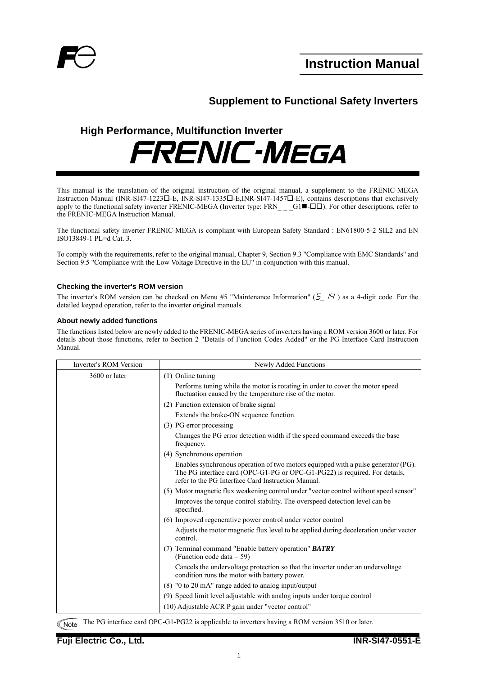

## **Supplement to Functional Safety Inverters**

# **High Performance, Multifunction Inverter FRENIC-MEGA**

This manual is the translation of the original instruction of the original manual, a supplement to the FRENIC-MEGA Instruction Manual (INR-SI47-1223 $\square$ -E, INR-SI47-1335 $\square$ -E,INR-SI47-1457 $\square$ -E), contains descriptions that exclusively apply to the functional safety inverter FRENIC-MEGA (Inverter type: FRN G1- $\Box$ ). For other descriptions, refer to the FRENIC-MEGA Instruction Manual.

The functional safety inverter FRENIC-MEGA is compliant with European Safety Standard : EN61800-5-2 SIL2 and EN ISO13849-1 PL=d Cat. 3.

To comply with the requirements, refer to the original manual, Chapter 9, Section 9.3 "Compliance with EMC Standards" and Section 9.5 "Compliance with the Low Voltage Directive in the EU" in conjunction with this manual.

## **Checking the inverter's ROM version**

The inverter's ROM version can be checked on Menu #5 "Maintenance Information" ( $\frac{1}{2}$  / $\frac{1}{7}$ ) as a 4-digit code. For the detailed keypad operation, refer to the inverter original manuals.

## **About newly added functions**

The functions listed below are newly added to the FRENIC-MEGA series of inverters having a ROM version 3600 or later. For details about those functions, refer to Section 2 "Details of Function Codes Added" or the PG Interface Card Instruction Manual.

| Inverter's ROM Version | Newly Added Functions                                                                                                                                                                                                 |
|------------------------|-----------------------------------------------------------------------------------------------------------------------------------------------------------------------------------------------------------------------|
| 3600 or later          | $(1)$ Online tuning                                                                                                                                                                                                   |
|                        | Performs tuning while the motor is rotating in order to cover the motor speed<br>fluctuation caused by the temperature rise of the motor.                                                                             |
|                        | (2) Function extension of brake signal                                                                                                                                                                                |
|                        | Extends the brake-ON sequence function.                                                                                                                                                                               |
|                        | (3) PG error processing                                                                                                                                                                                               |
|                        | Changes the PG error detection width if the speed command exceeds the base<br>frequency.                                                                                                                              |
|                        | (4) Synchronous operation                                                                                                                                                                                             |
|                        | Enables synchronous operation of two motors equipped with a pulse generator (PG).<br>The PG interface card (OPC-G1-PG or OPC-G1-PG22) is required. For details,<br>refer to the PG Interface Card Instruction Manual. |
|                        | (5) Motor magnetic flux weakening control under "vector control without speed sensor"                                                                                                                                 |
|                        | Improves the torque control stability. The overspeed detection level can be<br>specified.                                                                                                                             |
|                        | (6) Improved regenerative power control under vector control                                                                                                                                                          |
|                        | Adjusts the motor magnetic flux level to be applied during deceleration under vector<br>control.                                                                                                                      |
|                        | (7) Terminal command "Enable battery operation" <b>BATRY</b><br>(Function code data = 59)                                                                                                                             |
|                        | Cancels the undervoltage protection so that the inverter under an undervoltage<br>condition runs the motor with battery power.                                                                                        |
|                        | (8) "0 to 20 mA" range added to analog input/output                                                                                                                                                                   |
|                        | (9) Speed limit level adjustable with analog inputs under torque control                                                                                                                                              |
|                        | (10) Adjustable ACR P gain under "vector control"                                                                                                                                                                     |

The PG interface card OPC-G1-PG22 is applicable to inverters having a ROM version 3510 or later. **Note**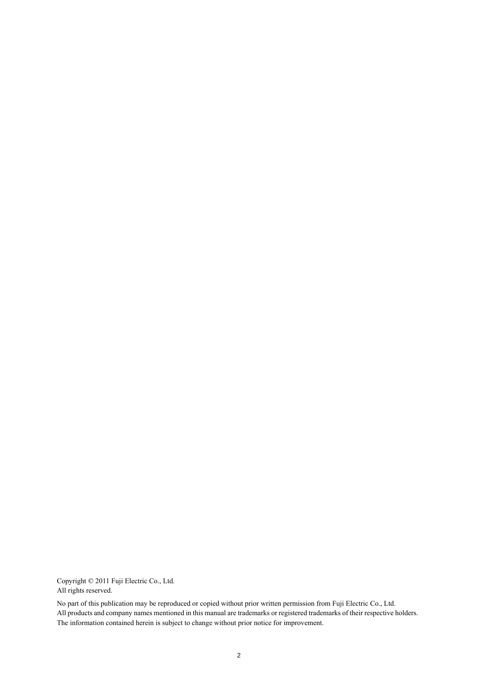Copyright © 2011 Fuji Electric Co., Ltd. All rights reserved.

No part of this publication may be reproduced or copied without prior written permission from Fuji Electric Co., Ltd. All products and company names mentioned in this manual are trademarks or registered trademarks of their respective holders. The information contained herein is subject to change without prior notice for improvement.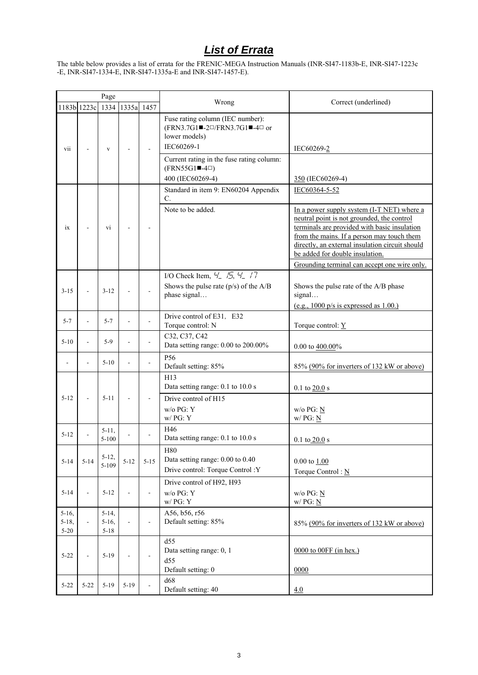# *List of Errata*

The table below provides a list of errata for the FRENIC-MEGA Instruction Manuals (INR-SI47-1183b-E, INR-SI47-1223c -E, INR-SI47-1334-E, INR-SI47-1335a-E and INR-SI47-1457-E).

|                        | Page                     |                         |                 |                |                                                                                                                                                                                                                                                      |                                                                                                                                                                                                                                                                                                                              |
|------------------------|--------------------------|-------------------------|-----------------|----------------|------------------------------------------------------------------------------------------------------------------------------------------------------------------------------------------------------------------------------------------------------|------------------------------------------------------------------------------------------------------------------------------------------------------------------------------------------------------------------------------------------------------------------------------------------------------------------------------|
|                        | 1183b 1223c              |                         | 1334 1335a 1457 |                | Wrong                                                                                                                                                                                                                                                | Correct (underlined)                                                                                                                                                                                                                                                                                                         |
| vii                    |                          | V                       |                 |                | Fuse rating column (IEC number):<br>$(FRN3.7G1 \blacksquare - 2\square / FRN3.7G1 \blacksquare - 4\square$ or<br>lower models)<br>IEC60269-1<br>Current rating in the fuse rating column:<br>$(FRN55G1 \blacksquare - 4\square)$<br>400 (IEC60269-4) | IEC60269-2<br>350 (IEC60269-4)                                                                                                                                                                                                                                                                                               |
|                        |                          |                         |                 |                | Standard in item 9: EN60204 Appendix                                                                                                                                                                                                                 | IEC60364-5-52                                                                                                                                                                                                                                                                                                                |
| ix                     |                          | vi                      |                 |                | C.<br>Note to be added.                                                                                                                                                                                                                              | In a power supply system (I-T NET) where a<br>neutral point is not grounded, the control<br>terminals are provided with basic insulation<br>from the mains. If a person may touch them<br>directly, an external insulation circuit should<br>be added for double insulation.<br>Grounding terminal can accept one wire only. |
|                        |                          |                         |                 |                | I/O Check Item, $4'$ , $4'$ , $4'$ , $4'$                                                                                                                                                                                                            |                                                                                                                                                                                                                                                                                                                              |
| $3 - 15$               |                          | $3 - 12$                |                 |                | Shows the pulse rate $(p/s)$ of the A/B<br>phase signal                                                                                                                                                                                              | Shows the pulse rate of the A/B phase<br>signal<br>(e.g., $1000$ p/s is expressed as $1.00$ .)                                                                                                                                                                                                                               |
| $5 - 7$                | $\overline{\phantom{a}}$ | $5 - 7$                 |                 |                | Drive control of E31, E32<br>Torque control: N                                                                                                                                                                                                       | Torque control: $Y$                                                                                                                                                                                                                                                                                                          |
| $5 - 10$               | ÷,                       | $5-9$                   |                 |                | C32, C37, C42<br>Data setting range: 0.00 to 200.00%                                                                                                                                                                                                 | 0.00 to $400.00\%$                                                                                                                                                                                                                                                                                                           |
|                        |                          | $5 - 10$                |                 |                | P <sub>56</sub><br>Default setting: 85%                                                                                                                                                                                                              | 85% (90% for inverters of 132 kW or above)                                                                                                                                                                                                                                                                                   |
| $5 - 12$               |                          | $5 - 11$                |                 |                | H13<br>Data setting range: 0.1 to 10.0 s<br>Drive control of H15<br>$w/o$ PG: $Y$<br>w/PG: Y                                                                                                                                                         | $0.1$ to $20.0$ s<br>$w/o$ PG: N<br>w/PG: N                                                                                                                                                                                                                                                                                  |
| $5 - 12$               |                          | $5-11$ ,<br>$5 - 100$   |                 |                | H46<br>Data setting range: 0.1 to 10.0 s                                                                                                                                                                                                             | $0.1$ to $20.0$ s                                                                                                                                                                                                                                                                                                            |
| $5 - 14$               | $5 - 14$                 | $5 - 12$ ,<br>$5 - 109$ | $5 - 12$        | $5 - 15$       | <b>H80</b><br>Data setting range: 0.00 to 0.40<br>Drive control: Torque Control: Y                                                                                                                                                                   | $0.00$ to $1.00$<br>Torque Control: $\underline{N}$                                                                                                                                                                                                                                                                          |
| $5 - 14$               | $\overline{a}$           | $5 - 12$                |                 | $\overline{a}$ | Drive control of H92, H93<br>$w/o$ PG: $Y$<br>w/ PG: Y                                                                                                                                                                                               | $w/o$ PG: $N$<br>w/PG: N                                                                                                                                                                                                                                                                                                     |
| $5-16$ ,               |                          | $5-14,$                 |                 |                | A56, b56, r56                                                                                                                                                                                                                                        |                                                                                                                                                                                                                                                                                                                              |
| $5 - 18$ ,<br>$5 - 20$ | $\overline{\phantom{a}}$ | $5 - 16$ ,<br>$5 - 18$  |                 | L,             | Default setting: 85%                                                                                                                                                                                                                                 | 85% (90% for inverters of 132 kW or above)                                                                                                                                                                                                                                                                                   |
| $5 - 22$               | $\overline{a}$           | $5 - 19$                |                 |                | d55<br>Data setting range: 0, 1<br>d55<br>Default setting: 0                                                                                                                                                                                         | $0000$ to $00FF$ (in hex.)<br>0000                                                                                                                                                                                                                                                                                           |
| $5 - 22$               | $5 - 22$                 | $5 - 19$                | $5-19$          |                | d68<br>Default setting: 40                                                                                                                                                                                                                           | 4.0                                                                                                                                                                                                                                                                                                                          |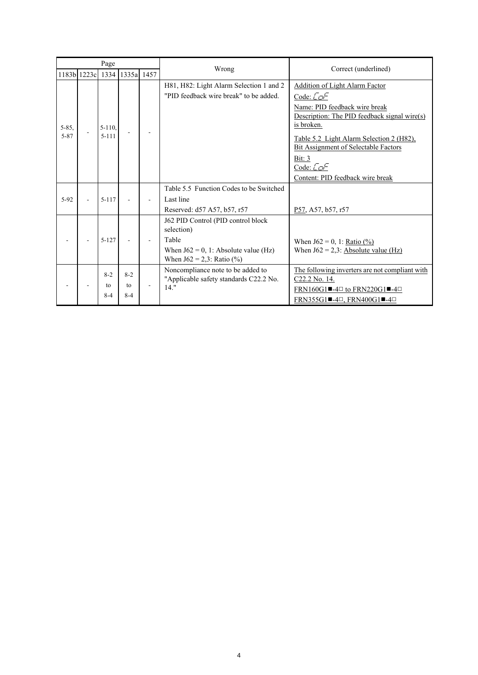| Page               |             |                          |                          |                                                                                                                                         |                                                                                                                                                                                                                                                                                                                   |
|--------------------|-------------|--------------------------|--------------------------|-----------------------------------------------------------------------------------------------------------------------------------------|-------------------------------------------------------------------------------------------------------------------------------------------------------------------------------------------------------------------------------------------------------------------------------------------------------------------|
|                    | 1183b 1223c | 1334                     | 1335a 1457               | Wrong                                                                                                                                   | Correct (underlined)                                                                                                                                                                                                                                                                                              |
| $5 - 85$ ,<br>5-87 |             | $5 - 110$ ,<br>$5 - 111$ |                          | H81, H82: Light Alarm Selection 1 and 2<br>"PID feedback wire break" to be added.                                                       | <b>Addition of Light Alarm Factor</b><br>Code: $\sqrt{C}$<br>Name: PID feedback wire break<br>Description: The PID feedback signal wire(s)<br>is broken.<br>Table 5.2 Light Alarm Selection 2 (H82),<br><b>Bit Assignment of Selectable Factors</b><br>Bit: $3$<br>Code: Cole<br>Content: PID feedback wire break |
| $5 - 92$           |             | $5 - 117$                |                          | Table 5.5 Function Codes to be Switched<br>Last line<br>Reserved: d57 A57, b57, r57                                                     | P57, A57, b57, r57                                                                                                                                                                                                                                                                                                |
|                    |             | $5 - 127$                |                          | J62 PID Control (PID control block<br>selection)<br>Table<br>When $J62 = 0$ , 1: Absolute value (Hz)<br>When $J62 = 2,3$ : Ratio $(\%)$ | When $J62 = 0$ , 1: <u>Ratio (%)</u><br>When $J62 = 2,3$ : Absolute value (Hz)                                                                                                                                                                                                                                    |
|                    |             | $8 - 2$<br>to<br>$8 - 4$ | $8 - 2$<br>to<br>$8 - 4$ | Noncompliance note to be added to<br>"Applicable safety standards C22.2 No.<br>$14.$ "                                                  | The following inverters are not compliant with<br>C <sub>22.2</sub> No. 14.<br>FRN160G1 $\blacksquare$ -4 $\Box$ to FRN220G1 $\blacksquare$ -4 $\Box$<br>$FRN355G1$ -4 $\Box$ , $FRN400G1$ -4 $\Box$                                                                                                              |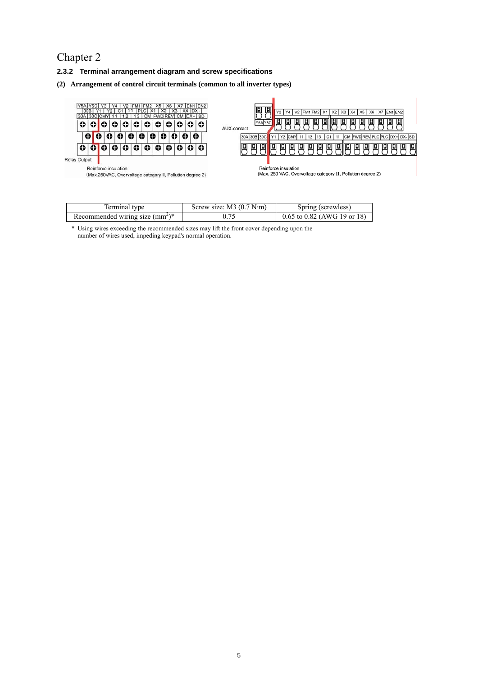## Chapter 2

- **2.3.2 Terminal arrangement diagram and screw specifications**
- **(2) Arrangement of control circuit terminals (common to all inverter types)**



| ferminal type                    | Screw size: $M3$ (0.7 N·m) | Spring (screwless)              |
|----------------------------------|----------------------------|---------------------------------|
| Recommended wiring size $(mm2)*$ |                            | $0.65$ to $0.82$ (AWG 19 or 18) |

\* Using wires exceeding the recommended sizes may lift the front cover depending upon the number of wires used, impeding keypad's normal operation.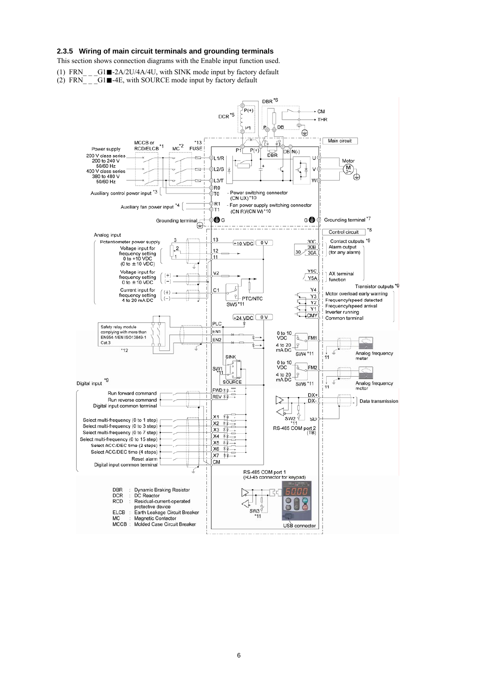## **2.3.5 Wiring of main circuit terminals and grounding terminals**

This section shows connection diagrams with the Enable input function used.

(1) FRN  $G1 \blacksquare - 2A/2U/4A/4U$ , with SINK mode input by factory default

(2)  $FRN$   $-G1$   $H=4E$ , with SOURCE mode input by factory default

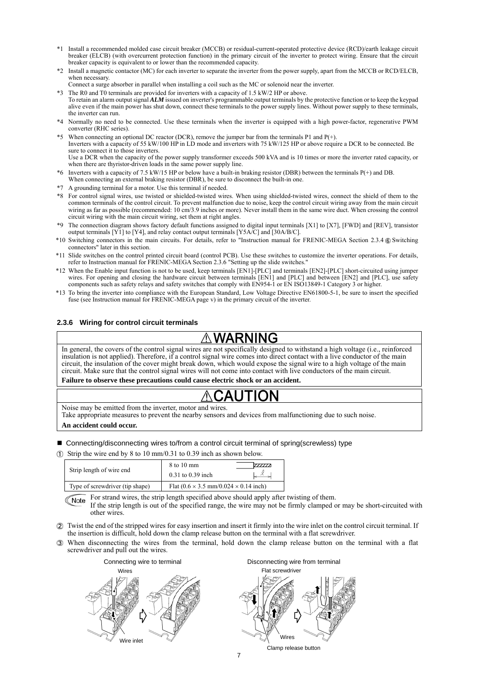- \*1 Install a recommended molded case circuit breaker (MCCB) or residual-current-operated protective device (RCD)/earth leakage circuit breaker (ELCB) (with overcurrent protection function) in the primary circuit of the inverter to protect wiring. Ensure that the circuit breaker capacity is equivalent to or lower than the recommended capacity.
- \*2 Install a magnetic contactor (MC) for each inverter to separate the inverter from the power supply, apart from the MCCB or RCD/ELCB, when necessary.
	- Connect a surge absorber in parallel when installing a coil such as the MC or solenoid near the inverter.
- \*3 The R0 and T0 terminals are provided for inverters with a capacity of 1.5 kW/2 HP or above. To retain an alarm output signal *ALM* issued on inverter's programmable output terminals by the protective function or to keep the keypad alive even if the main power has shut down, connect these terminals to the power supply lines. Without power supply to these terminals, the inverter can run.
- \*4 Normally no need to be connected. Use these terminals when the inverter is equipped with a high power-factor, regenerative PWM converter (RHC series).
- \*5 When connecting an optional DC reactor (DCR), remove the jumper bar from the terminals P1 and P(+). Inverters with a capacity of 55 kW/100 HP in LD mode and inverters with 75 kW/125 HP or above require a DCR to be connected. Be sure to connect it to those inverters. Use a DCR when the capacity of the power supply transformer exceeds 500 kVA and is 10 times or more the inverter rated capacity, or when there are thyristor-driven loads in the same power supply line.
- \*6 Inverters with a capacity of 7.5 kW/15 HP or below have a built-in braking resistor (DBR) between the terminals P(+) and DB.
- When connecting an external braking resistor (DBR), be sure to disconnect the built-in one.
- \*7 A grounding terminal for a motor. Use this terminal if needed.
- \*8 For control signal wires, use twisted or shielded-twisted wires. When using shielded-twisted wires, connect the shield of them to the common terminals of the control circuit. To prevent malfunction due to noise, keep the control circuit wiring away from the main circuit wiring as far as possible (recommended: 10 cm/3.9 inches or more). Never install them in the same wire duct. When crossing the control circuit wiring with the main circuit wiring, set them at right angles.
- \*9 The connection diagram shows factory default functions assigned to digital input terminals [X1] to [X7], [FWD] and [REV], transistor output terminals [Y1] to [Y4], and relay contact output terminals [Y5A/C] and [30A/B/C].
- \*10 Switching connectors in the main circuits. For details, refer to "Instruction manual for FRENIC-MEGA Section 2.3.4 ® Switching connectors" later in this section.
- \*11 Slide switches on the control printed circuit board (control PCB). Use these switches to customize the inverter operations. For details, refer to Instruction manual for FRENIC-MEGA Section 2.3.6 "Setting up the slide switches."
- \*12 When the Enable input function is not to be used, keep terminals [EN1]-[PLC] and terminals [EN2]-[PLC] short-circuited using jumper wires. For opening and closing the hardware circuit between terminals [EN1] and [PLC] and between [EN2] and [PLC], use safety components such as safety relays and safety switches that comply with EN954-1 or EN ISO13849-1 Category 3 or higher.
- \*13 To bring the inverter into compliance with the European Standard, Low Voltage Directive EN61800-5-1, be sure to insert the specified fuse (see Instruction manual for FRENIC-MEGA page v) in the primary circuit of the inverter.

## **2.3.6 Wiring for control circuit terminals**

# WARNING

In general, the covers of the control signal wires are not specifically designed to withstand a high voltage (i.e., reinforced insulation is not applied). Therefore, if a control signal wire comes into direct contact with a live conductor of the main circuit, the insulation of the cover might break down, which would expose the signal wire to a high voltage of the main circuit. Make sure that the control signal wires will not come into contact with live conductors of the main circuit.

**Failure to observe these precautions could cause electric shock or an accident.** 

Noise may be emitted from the inverter, motor and wires. Take appropriate measures to prevent the nearby sensors and devices from malfunctioning due to such noise.

## **An accident could occur.**

- Connecting/disconnecting wires to/from a control circuit terminal of spring(screwless) type
- $\Omega$  Strip the wire end by 8 to 10 mm/0.31 to 0.39 inch as shown below.

| Strip length of wire end        | 8 to 10 mm<br>777777<br>$0.31$ to $0.39$ inch                     |
|---------------------------------|-------------------------------------------------------------------|
| Type of screwdriver (tip shape) | Flat $(0.6 \times 3.5 \text{ mm}/0.024 \times 0.14 \text{ inch})$ |

For strand wires, the strip length specified above should apply after twisting of them. Note

If the strip length is out of the specified range, the wire may not be firmly clamped or may be short-circuited with other wires.

- Twist the end of the stripped wires for easy insertion and insert it firmly into the wire inlet on the control circuit terminal. If the insertion is difficult, hold down the clamp release button on the terminal with a flat screwdriver.
- When disconnecting the wires from the terminal, hold down the clamp release button on the terminal with a flat screwdriver and pull out the wires.



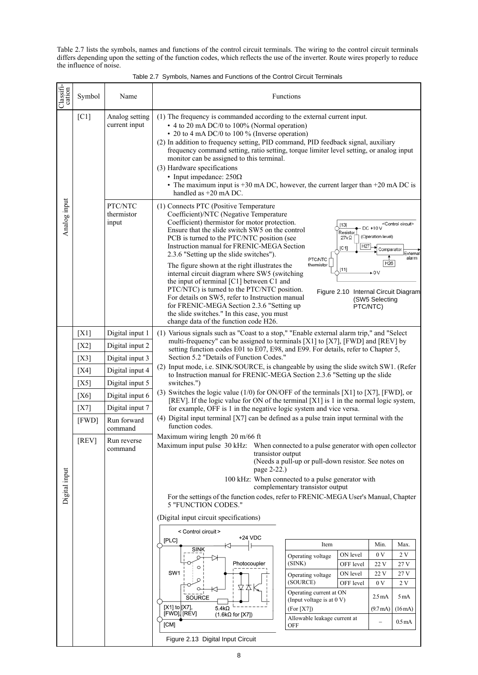Table 2.7 lists the symbols, names and functions of the control circuit terminals. The wiring to the control circuit terminals differs depending upon the setting of the function codes, which reflects the use of the inverter. Route wires properly to reduce the influence of noise.

| Table 2.7 Symbols, Names and Functions of the Control Circuit Terminals |
|-------------------------------------------------------------------------|
|-------------------------------------------------------------------------|

| Classifi-<br>cation | Symbol             | Name                            | Functions                                                                                                                                                                                                                                                                                                                                                                                                                                                                                                                                                                                                                                                                                                         |                                                               |                                                                                                              |                                                                                                                              |                                                       |  |  |  |
|---------------------|--------------------|---------------------------------|-------------------------------------------------------------------------------------------------------------------------------------------------------------------------------------------------------------------------------------------------------------------------------------------------------------------------------------------------------------------------------------------------------------------------------------------------------------------------------------------------------------------------------------------------------------------------------------------------------------------------------------------------------------------------------------------------------------------|---------------------------------------------------------------|--------------------------------------------------------------------------------------------------------------|------------------------------------------------------------------------------------------------------------------------------|-------------------------------------------------------|--|--|--|
|                     | $\lceil C1 \rceil$ | Analog setting<br>current input | (1) The frequency is commanded according to the external current input.<br>• 4 to 20 mA DC/0 to 100% (Normal operation)<br>• 20 to 4 mA DC/0 to 100 % (Inverse operation)<br>(2) In addition to frequency setting, PID command, PID feedback signal, auxiliary<br>frequency command setting, ratio setting, torque limiter level setting, or analog input<br>monitor can be assigned to this terminal.<br>(3) Hardware specifications<br>• Input impedance: $250\Omega$<br>• The maximum input is $+30$ mA DC, however, the current larger than $+20$ mA DC is<br>handled as $+20$ mA DC.                                                                                                                         |                                                               |                                                                                                              |                                                                                                                              |                                                       |  |  |  |
| Analog input        |                    | PTC/NTC<br>thermistor<br>input  | (1) Connects PTC (Positive Temperature<br>Coefficient)/NTC (Negative Temperature<br>Coefficient) thermistor for motor protection.<br>Ensure that the slide switch SW5 on the control<br>PCB is turned to the PTC/NTC position (see<br>Instruction manual for FRENIC-MEGA Section<br>2.3.6 "Setting up the slide switches").<br>The figure shown at the right illustrates the<br>internal circuit diagram where SW5 (switching<br>the input of terminal [C1] between C1 and<br>PTC/NTC) is turned to the PTC/NTC position.<br>For details on SW5, refer to Instruction manual<br>for FRENIC-MEGA Section 2.3.6 "Setting up<br>the slide switches." In this case, you must<br>change data of the function code H26. | <b>PTC/NTC</b><br>thermistor                                  | $[13]$<br>Resistor<br>$27k\Omega$<br>H <sub>27</sub><br>[C1]<br>[11]<br>Figure 2.10 Internal Circuit Diagram | DC +10 V<br>(Operation level)<br>Comparator<br>H <sub>26</sub><br>$\overline{\phantom{0}}$ 0 V<br>(SW5 Selecting<br>PTC/NTC) | <control circuit=""><br/>External<br/>alarm</control> |  |  |  |
|                     | [X1]               | Digital input 1                 | (1) Various signals such as "Coast to a stop," "Enable external alarm trip," and "Select                                                                                                                                                                                                                                                                                                                                                                                                                                                                                                                                                                                                                          |                                                               |                                                                                                              |                                                                                                                              |                                                       |  |  |  |
|                     | [X2]               | Digital input 2                 | multi-frequency" can be assigned to terminals [X1] to [X7], [FWD] and [REV] by                                                                                                                                                                                                                                                                                                                                                                                                                                                                                                                                                                                                                                    |                                                               |                                                                                                              |                                                                                                                              |                                                       |  |  |  |
|                     | [X3]               | Digital input 3                 | setting function codes E01 to E07, E98, and E99. For details, refer to Chapter 5,<br>Section 5.2 "Details of Function Codes."                                                                                                                                                                                                                                                                                                                                                                                                                                                                                                                                                                                     |                                                               |                                                                                                              |                                                                                                                              |                                                       |  |  |  |
|                     | [X4]               | Digital input 4                 | (2) Input mode, i.e. SINK/SOURCE, is changeable by using the slide switch SW1. (Refer<br>to Instruction manual for FRENIC-MEGA Section 2.3.6 "Setting up the slide                                                                                                                                                                                                                                                                                                                                                                                                                                                                                                                                                |                                                               |                                                                                                              |                                                                                                                              |                                                       |  |  |  |
|                     | [X5]               | Digital input 5                 | switches.")                                                                                                                                                                                                                                                                                                                                                                                                                                                                                                                                                                                                                                                                                                       |                                                               |                                                                                                              |                                                                                                                              |                                                       |  |  |  |
|                     | [X6]               | Digital input 6                 | (3) Switches the logic value (1/0) for ON/OFF of the terminals [X1] to [X7], [FWD], or                                                                                                                                                                                                                                                                                                                                                                                                                                                                                                                                                                                                                            |                                                               |                                                                                                              |                                                                                                                              |                                                       |  |  |  |
|                     | [X7]               | Digital input 7                 | [REV]. If the logic value for ON of the terminal [X1] is 1 in the normal logic system,<br>for example, OFF is 1 in the negative logic system and vice versa.                                                                                                                                                                                                                                                                                                                                                                                                                                                                                                                                                      |                                                               |                                                                                                              |                                                                                                                              |                                                       |  |  |  |
|                     | [FWD]              | Run forward<br>command          | $(4)$ Digital input terminal [X7] can be defined as a pulse train input terminal with the<br>function codes.                                                                                                                                                                                                                                                                                                                                                                                                                                                                                                                                                                                                      |                                                               |                                                                                                              |                                                                                                                              |                                                       |  |  |  |
|                     | [REV]              | Run reverse<br>command          | Maximum wiring length 20 m/66 ft<br>Maximum input pulse 30 kHz:<br>When connected to a pulse generator with open collector<br>transistor output<br>(Needs a pull-up or pull-down resistor. See notes on<br>page 2-22.)<br>100 kHz: When connected to a pulse generator with                                                                                                                                                                                                                                                                                                                                                                                                                                       |                                                               |                                                                                                              |                                                                                                                              |                                                       |  |  |  |
| Digital input       |                    |                                 | For the settings of the function codes, refer to FRENIC-MEGA User's Manual, Chapter<br><b>5 "FUNCTION CODES."</b>                                                                                                                                                                                                                                                                                                                                                                                                                                                                                                                                                                                                 | complementary transistor output                               |                                                                                                              |                                                                                                                              |                                                       |  |  |  |
|                     |                    |                                 | (Digital input circuit specifications)                                                                                                                                                                                                                                                                                                                                                                                                                                                                                                                                                                                                                                                                            |                                                               |                                                                                                              |                                                                                                                              |                                                       |  |  |  |
|                     |                    |                                 | < Control circuit >                                                                                                                                                                                                                                                                                                                                                                                                                                                                                                                                                                                                                                                                                               |                                                               |                                                                                                              |                                                                                                                              |                                                       |  |  |  |
|                     |                    |                                 | +24 VDC<br>[PLC]                                                                                                                                                                                                                                                                                                                                                                                                                                                                                                                                                                                                                                                                                                  | Item                                                          |                                                                                                              | Min.                                                                                                                         | Max.                                                  |  |  |  |
|                     |                    |                                 | <b>SINK</b>                                                                                                                                                                                                                                                                                                                                                                                                                                                                                                                                                                                                                                                                                                       | Operating voltage                                             | ON level                                                                                                     | 0V                                                                                                                           | 2 V                                                   |  |  |  |
|                     |                    |                                 | Photocoupler<br>$\circ$                                                                                                                                                                                                                                                                                                                                                                                                                                                                                                                                                                                                                                                                                           | (SINK)                                                        | OFF level                                                                                                    | 22 V                                                                                                                         | 27 V                                                  |  |  |  |
|                     |                    |                                 | SW1<br>O                                                                                                                                                                                                                                                                                                                                                                                                                                                                                                                                                                                                                                                                                                          | Operating voltage                                             | ON level                                                                                                     | 22 V                                                                                                                         | 27 V                                                  |  |  |  |
|                     |                    |                                 | $\circ$<br>K<br>SOURCE                                                                                                                                                                                                                                                                                                                                                                                                                                                                                                                                                                                                                                                                                            | (SOURCE)<br>OFF level<br>Operating current at ON              |                                                                                                              | 0V<br>$2.5 \text{ mA}$                                                                                                       | 2 V<br>5 mA                                           |  |  |  |
|                     |                    |                                 | [ $X1$ ] to $[X7]$ ,<br>$5.4k\Omega$                                                                                                                                                                                                                                                                                                                                                                                                                                                                                                                                                                                                                                                                              | (Input voltage is at 0 V)<br>(For [X7])<br>$(9.7 \text{ mA})$ |                                                                                                              |                                                                                                                              | (16mA)                                                |  |  |  |
|                     |                    |                                 | [FWD], [REV]<br>$(1.6k\Omega$ for [X7])<br>[CM]                                                                                                                                                                                                                                                                                                                                                                                                                                                                                                                                                                                                                                                                   | Allowable leakage current at<br><b>OFF</b>                    |                                                                                                              |                                                                                                                              | 0.5 <sub>mA</sub>                                     |  |  |  |
|                     |                    |                                 | Figure 2.13 Digital Input Circuit                                                                                                                                                                                                                                                                                                                                                                                                                                                                                                                                                                                                                                                                                 |                                                               |                                                                                                              |                                                                                                                              |                                                       |  |  |  |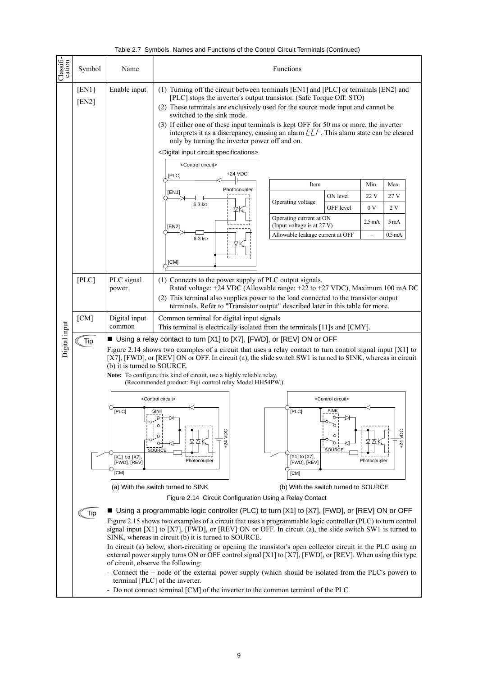|  | Table 2.7 Symbols, Names and Functions of the Control Circuit Terminals (Continued) |  |  |  |  |
|--|-------------------------------------------------------------------------------------|--|--|--|--|
|  |                                                                                     |  |  |  |  |

| Classifi-<br>cation | Symbol                                                                                          | Name                                                                                                                                                                                                                                                                                                                                                                                                                                                                                                                                                                                                                                                                                                                                                                                                                                                                                                                                                                                                                                                                                                                                                                                                                                                                                                                                                                                                                                                                                                                                                                                                                                                                                                                                                                                                                                                                                                                                     | Functions                                                                                                                                                                                                                                                                                                                                                                                                                                                                                                                                                                                                                                                                                                                                                                                                                                                                                                                                                                                                                                                                        |  |  |  |  |  |
|---------------------|-------------------------------------------------------------------------------------------------|------------------------------------------------------------------------------------------------------------------------------------------------------------------------------------------------------------------------------------------------------------------------------------------------------------------------------------------------------------------------------------------------------------------------------------------------------------------------------------------------------------------------------------------------------------------------------------------------------------------------------------------------------------------------------------------------------------------------------------------------------------------------------------------------------------------------------------------------------------------------------------------------------------------------------------------------------------------------------------------------------------------------------------------------------------------------------------------------------------------------------------------------------------------------------------------------------------------------------------------------------------------------------------------------------------------------------------------------------------------------------------------------------------------------------------------------------------------------------------------------------------------------------------------------------------------------------------------------------------------------------------------------------------------------------------------------------------------------------------------------------------------------------------------------------------------------------------------------------------------------------------------------------------------------------------------|----------------------------------------------------------------------------------------------------------------------------------------------------------------------------------------------------------------------------------------------------------------------------------------------------------------------------------------------------------------------------------------------------------------------------------------------------------------------------------------------------------------------------------------------------------------------------------------------------------------------------------------------------------------------------------------------------------------------------------------------------------------------------------------------------------------------------------------------------------------------------------------------------------------------------------------------------------------------------------------------------------------------------------------------------------------------------------|--|--|--|--|--|
|                     | [EN1]<br>[EN2]                                                                                  | Enable input                                                                                                                                                                                                                                                                                                                                                                                                                                                                                                                                                                                                                                                                                                                                                                                                                                                                                                                                                                                                                                                                                                                                                                                                                                                                                                                                                                                                                                                                                                                                                                                                                                                                                                                                                                                                                                                                                                                             | (1) Turning off the circuit between terminals [EN1] and [PLC] or terminals [EN2] and<br>[PLC] stops the inverter's output transistor. (Safe Torque Off: STO)<br>(2) These terminals are exclusively used for the source mode input and cannot be<br>switched to the sink mode.<br>(3) If either one of these input terminals is kept OFF for 50 ms or more, the inverter<br>interprets it as a discrepancy, causing an alarm $ETF$ . This alarm state can be cleared<br>only by turning the inverter power off and on.<br><digital circuit="" input="" specifications=""><br/><control circuit=""><br/>+24 VDC<br/>[PLC]<br/>Min.<br/>Item<br/>Max.<br/>Photocoupler<br/>[EN1]<br/>ON level<br/>22 V<br/>27 V<br/>Operating voltage<br/><math>6.3 \text{ k}\Omega</math><br/>OFF level<br/>0V<br/>2V<br/>Operating current at ON<br/><math>2.5 \text{ mA}</math><br/>5<sub>m</sub>A<br/>(Input voltage is at 27 V)<br/>[EN2]<br/>Allowable leakage current at OFF<br/>0.5<sub>mA</sub><br/><math>\equiv</math><br/><math>6.3 \text{ k}\Omega</math><br/>[CM]</control></digital> |  |  |  |  |  |
|                     | [PLC]                                                                                           | PLC signal<br>power                                                                                                                                                                                                                                                                                                                                                                                                                                                                                                                                                                                                                                                                                                                                                                                                                                                                                                                                                                                                                                                                                                                                                                                                                                                                                                                                                                                                                                                                                                                                                                                                                                                                                                                                                                                                                                                                                                                      | (1) Connects to the power supply of PLC output signals.<br>Rated voltage: +24 VDC (Allowable range: +22 to +27 VDC), Maximum 100 mA DC<br>(2) This terminal also supplies power to the load connected to the transistor output                                                                                                                                                                                                                                                                                                                                                                                                                                                                                                                                                                                                                                                                                                                                                                                                                                                   |  |  |  |  |  |
|                     | [CM]                                                                                            | terminals. Refer to "Transistor output" described later in this table for more.<br>Digital input<br>Common terminal for digital input signals<br>common                                                                                                                                                                                                                                                                                                                                                                                                                                                                                                                                                                                                                                                                                                                                                                                                                                                                                                                                                                                                                                                                                                                                                                                                                                                                                                                                                                                                                                                                                                                                                                                                                                                                                                                                                                                  |                                                                                                                                                                                                                                                                                                                                                                                                                                                                                                                                                                                                                                                                                                                                                                                                                                                                                                                                                                                                                                                                                  |  |  |  |  |  |
| Digital input       | Tip<br>Tip<br>- Do not connect terminal [CM] of the inverter to the common terminal of the PLC. | This terminal is electrically isolated from the terminals [11]s and [CMY].<br>■ Using a relay contact to turn [X1] to [X7], [FWD], or [REV] ON or OFF<br>Figure 2.14 shows two examples of a circuit that uses a relay contact to turn control signal input $[X1]$ to<br>[X7], [FWD], or [REV] ON or OFF. In circuit (a), the slide switch SW1 is turned to SINK, whereas in circuit<br>(b) it is turned to SOURCE.<br>Note: To configure this kind of circuit, use a highly reliable relay.<br>(Recommended product: Fuji control relay Model HH54PW.)<br><control circuit=""><br/><control circuit=""><br/>[PLC]<br/>[PLC]<br/><b>SINK</b><br/><b>SINK</b><br/><b>Jay</b><br/><b>Ja</b><br/><math>\circ</math><br/><math>+24</math><br/><math>+24</math><br/>SOURCE<br/>SOURCE<br/>[X1] to [X7],<br/>[X1] to [X7],<br/>Photocoupler<br/>Photocoupler<br/>[FWD], [REV]<br/>[FWD], [REV]<br/>[CM]<br/>[CM]<br/>(a) With the switch turned to SINK<br/>(b) With the switch turned to SOURCE<br/>Figure 2.14 Circuit Configuration Using a Relay Contact<br/>■ Using a programmable logic controller (PLC) to turn [X1] to [X7], [FWD], or [REV] ON or OFF<br/>Figure 2.15 shows two examples of a circuit that uses a programmable logic controller (PLC) to turn control<br/>signal input <math>[X1]</math> to <math>[X7]</math>, <math>[FWD]</math>, or <math>[REV]</math> ON or OFF. In circuit (a), the slide switch SW1 is turned to<br/>SINK, whereas in circuit (b) it is turned to SOURCE.<br/>In circuit (a) below, short-circuiting or opening the transistor's open collector circuit in the PLC using an<br/>external power supply turns ON or OFF control signal [X1] to [X7], [FWD], or [REV]. When using this type<br/>of circuit, observe the following:<br/>- Connect the + node of the external power supply (which should be isolated from the PLC's power) to<br/>terminal [PLC] of the inverter.</control></control> |                                                                                                                                                                                                                                                                                                                                                                                                                                                                                                                                                                                                                                                                                                                                                                                                                                                                                                                                                                                                                                                                                  |  |  |  |  |  |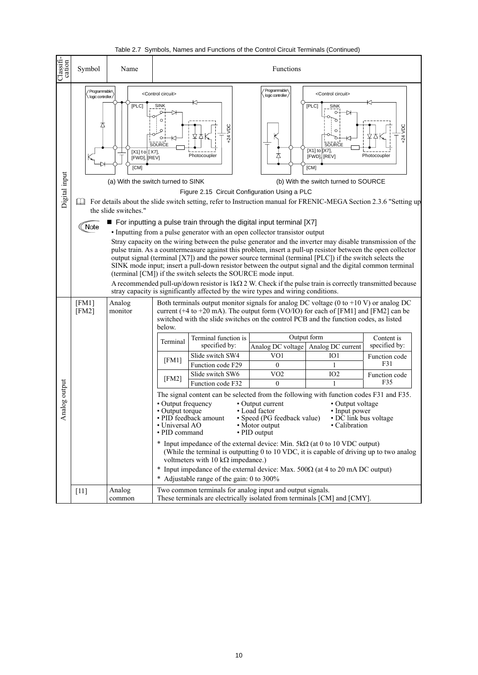| Classifi-<br>cation | Symbol                         | Name                                                                                                                                                                                                                                                                                                                                                                                                                                                                                                                                                                                                                                                                                                                                                                                                                                                                                                                                                                                                                                                                                                                                                                                                                                                                                                                                                                                                                                                                                                                                                                                                                                                                                                                                  |                                                                                                                  | $\alpha$ and $\alpha$ . $\beta$ of the control of the control of the control chemical contribution (Control of $\alpha$                                                                                                                                                                                                                                                                                                                                                                                                                                                                                                                                                                                                                                                                            | Functions                                                                                                                                                                             |                                                                                                                                       |                                                                             |
|---------------------|--------------------------------|---------------------------------------------------------------------------------------------------------------------------------------------------------------------------------------------------------------------------------------------------------------------------------------------------------------------------------------------------------------------------------------------------------------------------------------------------------------------------------------------------------------------------------------------------------------------------------------------------------------------------------------------------------------------------------------------------------------------------------------------------------------------------------------------------------------------------------------------------------------------------------------------------------------------------------------------------------------------------------------------------------------------------------------------------------------------------------------------------------------------------------------------------------------------------------------------------------------------------------------------------------------------------------------------------------------------------------------------------------------------------------------------------------------------------------------------------------------------------------------------------------------------------------------------------------------------------------------------------------------------------------------------------------------------------------------------------------------------------------------|------------------------------------------------------------------------------------------------------------------|----------------------------------------------------------------------------------------------------------------------------------------------------------------------------------------------------------------------------------------------------------------------------------------------------------------------------------------------------------------------------------------------------------------------------------------------------------------------------------------------------------------------------------------------------------------------------------------------------------------------------------------------------------------------------------------------------------------------------------------------------------------------------------------------------|---------------------------------------------------------------------------------------------------------------------------------------------------------------------------------------|---------------------------------------------------------------------------------------------------------------------------------------|-----------------------------------------------------------------------------|
| Digital input       | Programmable<br>Δ<br>Ш<br>Note | 'Programmable\<br><control circuit=""><br/><control circuit=""><br/>logic controller/<br/>logic controller/<br/><b>[PLC]</b><br/><b>SINK</b><br/>[PLC]<br/><b>SINK</b><br/>O<br/>VDC<br/><b>DC</b><br/><math>+24</math><br/>.24<br/>SOURCE<br/>SOURCE<br/><math>[X1]</math> to <math>[X7]</math>,<br/>[X1] to [X7],<br/>Photocoupler<br/>Photocoupler<br/>[FWD], [REV]<br/>[FWD], [REV]<br/>[CM]<br/>[CM]<br/>(a) With the switch turned to SINK<br/>(b) With the switch turned to SOURCE<br/>Figure 2.15 Circuit Configuration Using a PLC<br/>For details about the slide switch setting, refer to Instruction manual for FRENIC-MEGA Section 2.3.6 "Setting up<br/>the slide switches."<br/>■ For inputting a pulse train through the digital input terminal [X7]<br/>• Inputting from a pulse generator with an open collector transistor output<br/>Stray capacity on the wiring between the pulse generator and the inverter may disable transmission of the<br/>pulse train. As a countermeasure against this problem, insert a pull-up resistor between the open collector<br/>output signal (terminal [X7]) and the power source terminal (terminal [PLC]) if the switch selects the<br/>SINK mode input; insert a pull-down resistor between the output signal and the digital common terminal<br/>(terminal [CM]) if the switch selects the SOURCE mode input.<br/>A recommended pull-up/down resistor is <math>1k\Omega 2</math> W. Check if the pulse train is correctly transmitted because<br/>stray capacity is significantly affected by the wire types and wiring conditions.<br/>Both terminals output monitor signals for analog DC voltage (<math>0</math> to +10 V) or analog DC<br/>Analog</control></control> |                                                                                                                  |                                                                                                                                                                                                                                                                                                                                                                                                                                                                                                                                                                                                                                                                                                                                                                                                    |                                                                                                                                                                                       |                                                                                                                                       |                                                                             |
| Analog output       | [FM1]<br>[FM2]                 | monitor                                                                                                                                                                                                                                                                                                                                                                                                                                                                                                                                                                                                                                                                                                                                                                                                                                                                                                                                                                                                                                                                                                                                                                                                                                                                                                                                                                                                                                                                                                                                                                                                                                                                                                                               | below.<br>Terminal<br>[FM1]<br>[FM2]<br>• Output frequency<br>• Output torque<br>• Universal AO<br>• PID command | current ( $+4$ to $+20$ mA). The output form (VO/IO) for each of [FM1] and [FM2] can be<br>switched with the slide switches on the control PCB and the function codes, as listed<br>Terminal function is<br>specified by:<br>Slide switch SW4<br>Function code F29<br>Slide switch SW6<br>Function code F32<br>The signal content can be selected from the following with function codes F31 and F35.<br>• PID feedback amount<br>* Input impedance of the external device: Min. $5k\Omega$ (at 0 to 10 VDC output)<br>(While the terminal is outputting 0 to 10 VDC, it is capable of driving up to two analog<br>voltmeters with 10 k $\Omega$ impedance.)<br>* Input impedance of the external device: Max. 500 $\Omega$ (at 4 to 20 mA DC output)<br>* Adjustable range of the gain: 0 to 300% | Analog DC voltage Analog DC current<br>VO1<br>$\overline{0}$<br>VO2<br>$\theta$<br>• Output current<br>• Load factor<br>• Speed (PG feedback value)<br>• Motor output<br>• PID output | Output form<br>IO <sub>1</sub><br>1<br>IO <sub>2</sub><br>• Output voltage<br>· Input power<br>• DC link bus voltage<br>• Calibration | Content is<br>specified by:<br>Function code<br>F31<br>Function code<br>F35 |
|                     | $[11]$                         | Analog<br>common                                                                                                                                                                                                                                                                                                                                                                                                                                                                                                                                                                                                                                                                                                                                                                                                                                                                                                                                                                                                                                                                                                                                                                                                                                                                                                                                                                                                                                                                                                                                                                                                                                                                                                                      |                                                                                                                  | Two common terminals for analog input and output signals.<br>These terminals are electrically isolated from terminals [CM] and [CMY].                                                                                                                                                                                                                                                                                                                                                                                                                                                                                                                                                                                                                                                              |                                                                                                                                                                                       |                                                                                                                                       |                                                                             |

Table 2.7 Symbols, Names and Functions of the Control Circuit Terminals (Continued)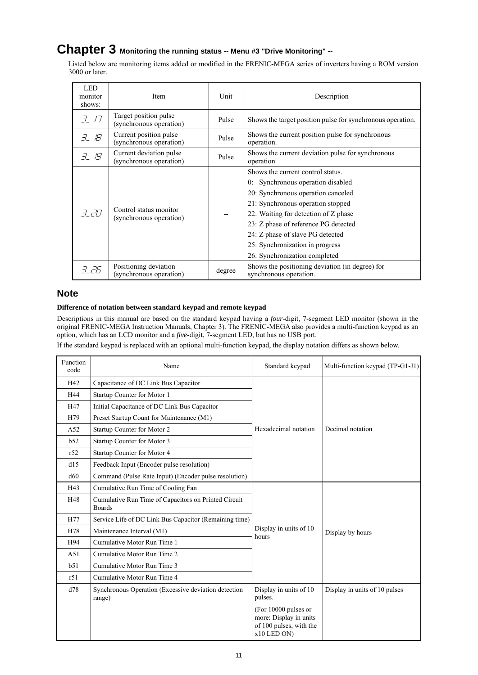## **Chapter 3 Monitoring the running status -- Menu #3 "Drive Monitoring" --**

Listed below are monitoring items added or modified in the FRENIC-MEGA series of inverters having a ROM version 3000 or later.

| <b>LED</b><br>monitor<br>shows: | Item                                                                     | Unit   | Description                                                                                                                                                                                                                                                                                                                                  |
|---------------------------------|--------------------------------------------------------------------------|--------|----------------------------------------------------------------------------------------------------------------------------------------------------------------------------------------------------------------------------------------------------------------------------------------------------------------------------------------------|
| 3/7                             | Target position pulse<br>Pulse<br>(synchronous operation)                |        | Shows the target position pulse for synchronous operation.                                                                                                                                                                                                                                                                                   |
| 3. IB                           | Current position pulse<br>Pulse<br>(synchronous operation)<br>operation. |        | Shows the current position pulse for synchronous                                                                                                                                                                                                                                                                                             |
| 3. 19                           | Current deviation pulse<br>(synchronous operation)                       | Pulse  | Shows the current deviation pulse for synchronous<br>operation.                                                                                                                                                                                                                                                                              |
| 3. 20                           | Control status monitor<br>(synchronous operation)                        |        | Shows the current control status.<br>Synchronous operation disabled<br>0:<br>20: Synchronous operation canceled<br>21: Synchronous operation stopped<br>22: Waiting for detection of Z phase<br>23: Z phase of reference PG detected<br>24: Z phase of slave PG detected<br>25: Synchronization in progress<br>26: Synchronization completed |
| 7 PR                            | Positioning deviation<br>(synchronous operation)                         | degree | Shows the positioning deviation (in degree) for<br>synchronous operation.                                                                                                                                                                                                                                                                    |

## **Note**

## **Difference of notation between standard keypad and remote keypad**

Descriptions in this manual are based on the standard keypad having a *four*-digit, 7-segment LED monitor (shown in the original FRENIC-MEGA Instruction Manuals, Chapter 3). The FRENIC-MEGA also provides a multi-function keypad as an option, which has an LCD monitor and a *five*-digit, 7-segment LED, but has no USB port.

If the standard keypad is replaced with an optional multi-function keypad, the display notation differs as shown below.

| Function<br>code | Name                                                                  | Standard keypad                                                                          | Multi-function keypad (TP-G1-J1) |
|------------------|-----------------------------------------------------------------------|------------------------------------------------------------------------------------------|----------------------------------|
| H42              | Capacitance of DC Link Bus Capacitor                                  |                                                                                          |                                  |
| H44              | Startup Counter for Motor 1                                           |                                                                                          |                                  |
| H47              | Initial Capacitance of DC Link Bus Capacitor                          |                                                                                          |                                  |
| H79              | Preset Startup Count for Maintenance (M1)                             |                                                                                          |                                  |
| A52              | Startup Counter for Motor 2                                           | Hexadecimal notation                                                                     | Decimal notation                 |
| b52              | Startup Counter for Motor 3                                           |                                                                                          |                                  |
| r52              | Startup Counter for Motor 4                                           |                                                                                          |                                  |
| d15              | Feedback Input (Encoder pulse resolution)                             |                                                                                          |                                  |
| d60              | Command (Pulse Rate Input) (Encoder pulse resolution)                 |                                                                                          |                                  |
| H43              | Cumulative Run Time of Cooling Fan                                    |                                                                                          |                                  |
| H48              | Cumulative Run Time of Capacitors on Printed Circuit<br><b>Boards</b> |                                                                                          |                                  |
| H77              | Service Life of DC Link Bus Capacitor (Remaining time)                |                                                                                          |                                  |
| H78              | Maintenance Interval (M1)                                             | Display in units of 10<br>hours                                                          | Display by hours                 |
| H94              | Cumulative Motor Run Time 1                                           |                                                                                          |                                  |
| A51              | Cumulative Motor Run Time 2                                           |                                                                                          |                                  |
| b51              | Cumulative Motor Run Time 3                                           |                                                                                          |                                  |
| r51              | Cumulative Motor Run Time 4                                           |                                                                                          |                                  |
| d78              | Synchronous Operation (Excessive deviation detection<br>range)        | Display in units of 10<br>pulses.                                                        | Display in units of 10 pulses    |
|                  |                                                                       | (For 10000 pulses or<br>more: Display in units<br>of 100 pulses, with the<br>x10 LED ON) |                                  |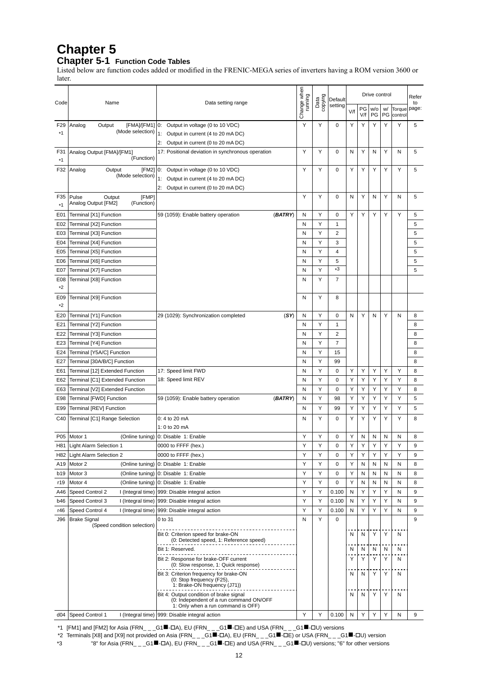# **Chapter 5**

# **Chapter 5-1 Function Code Tables**

Listed below are function codes added or modified in the FRENIC-MEGA series of inverters having a ROM version 3600 or later.

|                 |                                                    |                                                                                      | Change when<br>running |                 | Default        |     |           | Refer     |          |                   |             |
|-----------------|----------------------------------------------------|--------------------------------------------------------------------------------------|------------------------|-----------------|----------------|-----|-----------|-----------|----------|-------------------|-------------|
| Code            | Name                                               | Data setting range                                                                   |                        | Data<br>copying | setting        | V/f | PG<br>V/f | w/o<br>PG | w/<br>PG | Torque<br>control | to<br>page: |
| F <sub>29</sub> | Analog<br>[FMA]/[FM1]<br>Output                    | Output in voltage (0 to 10 VDC)<br>0:                                                | Y                      | Y               | 0              | Υ   | Y         | Y         | Y        | Y                 | 5           |
| *1              | (Mode selection)                                   | 1:<br>Output in current (4 to 20 mA DC)                                              |                        |                 |                |     |           |           |          |                   |             |
|                 |                                                    | Output in current (0 to 20 mA DC)<br>2:                                              |                        |                 |                |     |           |           |          |                   |             |
| F31<br>*1       | Analog Output [FMA]/[FM1]<br>(Function)            | 17: Positional deviation in synchronous operation                                    | Y                      | Y               | 0              | N   | Υ         | N         | Y        | N                 | 5           |
| F32             | Output<br>[FM2]<br>Analog                          | Output in voltage (0 to 10 VDC)<br>0:                                                | Y                      | Υ               | 0              | Υ   | Υ         | Υ         | Υ        | Υ                 | 5           |
|                 | (Mode selection)                                   | Output in current (4 to 20 mA DC)<br>1:                                              |                        |                 |                |     |           |           |          |                   |             |
|                 |                                                    | Output in current (0 to 20 mA DC)<br>2:                                              |                        |                 |                |     |           |           |          |                   |             |
| F35             | Pulse<br>[FMP]<br>Output                           |                                                                                      | Y                      | Y               | $\mathbf 0$    | N   | Y         | N         | Y        | N                 | 5           |
| $*1$            | Analog Output [FM2]<br>(Function)                  |                                                                                      |                        |                 |                |     |           |           |          |                   |             |
| E01             | Terminal [X1] Function                             | (BATRY)<br>59 (1059): Enable battery operation                                       | N                      | Υ               | 0              | Υ   | Y         | Υ         | Y        | Y                 | 5           |
| E02             | Terminal [X2] Function                             |                                                                                      | N                      | Y               | 1              |     |           |           |          |                   | 5           |
| E03             | Terminal [X3] Function                             |                                                                                      | N                      | Y               | $\overline{2}$ |     |           |           |          |                   | 5           |
| E04             | Terminal [X4] Function                             |                                                                                      | N                      | Υ               | 3              |     |           |           |          |                   | 5           |
| E05             | Terminal [X5] Function                             |                                                                                      | N                      | Υ               | 4              |     |           |           |          |                   | 5           |
| E06             | Terminal [X6] Function                             |                                                                                      | N                      | Y               | 5<br>*3        |     |           |           |          |                   | 5           |
| E07             | Terminal [X7] Function                             |                                                                                      | N                      | Υ               |                |     |           |           |          |                   | 5           |
| E08<br>*2       | Terminal [X8] Function                             |                                                                                      | N                      | Y               | 7              |     |           |           |          |                   |             |
| E09<br>*2       | Terminal [X9] Function                             |                                                                                      | N                      | Υ               | 8              |     |           |           |          |                   |             |
| E20             | Terminal [Y1] Function                             | 29 (1029): Synchronization completed<br>(SY)                                         | N                      | Y               | 0              | N   | Y         | N         | Y        | N                 | 8           |
| E21             | Terminal [Y2] Function                             |                                                                                      | N                      | Y               | $\mathbf{1}$   |     |           |           |          |                   | 8           |
| E22             | Terminal [Y3] Function                             |                                                                                      | N                      | Υ               | $\overline{2}$ |     |           |           |          |                   | 8           |
| E23             | Terminal [Y4] Function                             |                                                                                      | N                      | Υ               | $\overline{7}$ |     |           |           |          |                   | 8           |
| E24             | Terminal [Y5A/C] Function                          |                                                                                      | N                      | Y               | 15             |     |           |           |          |                   | 8           |
| E27             | Terminal [30A/B/C] Function                        |                                                                                      | N                      | Υ               | 99             |     |           |           |          |                   | 8           |
| E61             | Terminal [12] Extended Function                    | 17: Speed limit FWD                                                                  | N                      | Y               | 0              | Υ   | Y         | Υ         | Υ        | Υ                 | 8           |
| E62             | Terminal [C1] Extended Function                    | 18: Speed limit REV                                                                  | N                      | Υ               | 0              | Υ   | Υ         | Υ         | Υ        | Y                 | 8           |
| E63             | Terminal [V2] Extended Function                    |                                                                                      | N                      | Υ               | 0              | Υ   | Y         | Υ         | Υ        | Υ                 | 8           |
| E98             | Terminal [FWD] Function                            | 59 (1059): Enable battery operation<br>(BATRY)                                       | N                      | Υ               | 98             | Υ   | Υ         | Υ         | Υ        | Y                 | 5           |
| E99             | Terminal [REV] Function                            |                                                                                      | N                      | Y               | 99             | Υ   | Y         | Υ         | Y        | Y                 | 5           |
| C40             | Terminal [C1] Range Selection                      | 0: 4 to 20 mA                                                                        | N                      | Y               | 0              | Υ   | Υ         | Υ         | Y        | Y                 | 8           |
|                 |                                                    | 1: 0 to 20 mA                                                                        |                        |                 |                |     |           |           |          |                   |             |
| P05             | Motor 1<br>(Online tuning)                         | 0: Disable 1: Enable                                                                 | Y                      | Y               | 0              | Υ   | N         | N         | N        | N                 | 8           |
| H81             | Light Alarm Selection 1                            | 0000 to FFFF (hex.)                                                                  | Y                      |                 | 0              | Y   | Y         |           |          |                   | 9           |
|                 | H82 Light Alarm Selection 2                        | 0000 to FFFF (hex.)                                                                  | Y                      | Y               | 0              | Υ   | Y         | Υ         | Y        | Υ                 | 9           |
| A19             | Motor 2<br>(Online tuning)                         | 0: Disable 1: Enable                                                                 | Y                      | Y               | 0              | Υ   | N         | N         | N        | N                 | 8           |
| b19             | Motor 3<br>(Online tuning)                         | 0: Disable 1: Enable                                                                 | Y                      | Υ               | 0              | Y   | N         | N         | N        | N                 | 8           |
| r19             | Motor 4<br>(Online tuning)                         | 0: Disable 1: Enable                                                                 | Y                      | Y               | $\mathbf 0$    | Υ   | N         | N         | N        | N                 | 8           |
| A46             | Speed Control 2<br>I (Integral time)               | 999: Disable integral action                                                         | Y                      | Y               | 0.100          | N   | Y         | Υ         | Y        | N                 | 9           |
| b46             | Speed Control 3<br>I (Integral time)               | 999: Disable integral action                                                         | Y                      | Υ               | 0.100          | N   | Y         | Υ         | Y        | Ν                 | 9           |
| r46             | Speed Control 4<br>I (Integral time)               | 999: Disable integral action                                                         | Y                      | Y               | 0.100          | N   | Y         | Υ         | Y        | N                 | 9           |
| J96             | <b>Brake Signal</b><br>(Speed condition selection) | 0 to 31                                                                              | N                      | Y               | $\mathbf 0$    |     |           |           |          |                   | 9           |
|                 |                                                    | Bit 0: Criterion speed for brake-ON<br>(0: Detected speed, 1: Reference speed)       |                        |                 |                | N   | N         | Υ         | Y        | N                 |             |
|                 |                                                    | Bit 1: Reserved.                                                                     |                        |                 |                | N   | N         | N         | Ν        | N                 |             |
|                 |                                                    | Bit 2: Response for brake-OFF current<br>(0: Slow response, 1: Quick response)       |                        |                 |                | Υ   | Υ         | Υ         | Y        | N                 |             |
|                 |                                                    | Bit 3: Criterion frequency for brake-ON                                              |                        |                 |                | N   | N         | Υ         | Υ        | N                 |             |
|                 |                                                    | (0: Stop frequency (F25),<br>1: Brake-ON frequency (J71))                            |                        |                 |                |     |           |           |          |                   |             |
|                 |                                                    | Bit 4: Output condition of brake signal<br>(0: Independent of a run command ON/OFF   |                        |                 |                | N   | N         | Υ         | Υ        | N                 |             |
|                 | d04 Speed Control 1                                | 1: Only when a run command is OFF)<br>I (Integral time) 999: Disable integral action | Υ                      | Υ               | 0.100          | N   | Y         |           |          | N                 | 9           |
|                 |                                                    |                                                                                      |                        |                 |                |     |           |           |          |                   |             |

\*1 [FM1] and [FM2] for Asia (FRN\_ \_ \_G1 $\blacksquare$ - $\Box$ A), EU (FRN\_ \_ \_G1 $\blacksquare$ - $\Box$ E) and USA (FRN\_ \_ \_G1 $\blacksquare$ - $\Box$ U) versions

\*2 Terminals [X8] and [X9] not provided on Asia (FRN\_ \_ \_G1■-ロA), EU (FRN\_ \_ \_G1■-ロE) or USA (FRN\_ \_ \_G1■-ロU) version

\*3 "8" for Asia (FRN\_ \_ \_G1<sup>II</sup> -  $\Box$ A), EU (FRN\_ \_ \_G1<sup>II</sup> -  $\Box$ E) and USA (FRN\_ \_ \_G1<sup>II</sup> -  $\Box$ U) versions; "6" for other versions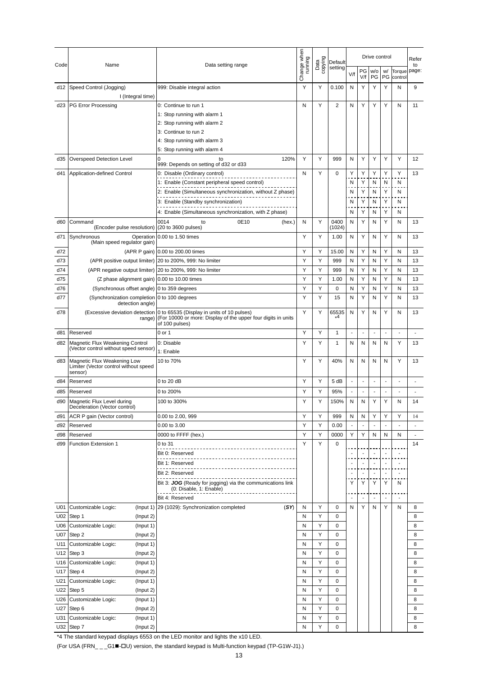|            |                                                                                 |                                                                                                                                                              |                        |                 |                | Drive control<br>Default |                          |                          |                          |                          | Refer          |
|------------|---------------------------------------------------------------------------------|--------------------------------------------------------------------------------------------------------------------------------------------------------------|------------------------|-----------------|----------------|--------------------------|--------------------------|--------------------------|--------------------------|--------------------------|----------------|
| Code       | Name                                                                            | Data setting range                                                                                                                                           | Change when<br>running | Data<br>copying | setting        | V/f                      | PG<br>V/f                | w/o<br>PG                | w/<br>PG                 | Torque<br>control        | to<br>page:    |
| d12        | Speed Control (Jogging)<br>I (Integral time)                                    | 999: Disable integral action                                                                                                                                 | Y                      | Υ               | 0.100          | N                        | Υ                        | Υ                        | Υ                        | Ν                        | 9              |
| d23        | <b>PG Error Processing</b>                                                      | 0: Continue to run 1                                                                                                                                         | N                      | Y               | 2              | N                        | Υ                        | Υ                        | Y                        | N                        | 11             |
|            |                                                                                 | 1: Stop running with alarm 1                                                                                                                                 |                        |                 |                |                          |                          |                          |                          |                          |                |
|            |                                                                                 | 2: Stop running with alarm 2                                                                                                                                 |                        |                 |                |                          |                          |                          |                          |                          |                |
|            |                                                                                 | 3: Continue to run 2                                                                                                                                         |                        |                 |                |                          |                          |                          |                          |                          |                |
|            |                                                                                 | 4: Stop running with alarm 3                                                                                                                                 |                        |                 |                |                          |                          |                          |                          |                          |                |
|            |                                                                                 | 5: Stop running with alarm 4                                                                                                                                 |                        |                 |                |                          |                          |                          |                          |                          |                |
| d35        | Overspeed Detection Level                                                       | 120%<br>0<br>to<br>999: Depends on setting of d32 or d33                                                                                                     | Y                      | Y               | 999            | N                        | Y                        | Y                        | Y                        | Y                        | 12             |
| d41        | Application-defined Control                                                     | 0: Disable (Ordinary control)                                                                                                                                | N                      | Y               | 0              | Υ                        | Υ                        | Y                        | Υ                        | Υ                        | 13             |
|            |                                                                                 | 1: Enable (Constant peripheral speed control)                                                                                                                |                        |                 |                | N                        | Υ                        | N                        | Ν                        | N                        |                |
|            |                                                                                 | 2: Enable (Simultaneous synchronization, without Z phase)                                                                                                    |                        |                 |                | N                        | Υ                        | N                        | Υ                        | N                        |                |
|            |                                                                                 | 3: Enable (Standby synchronization)                                                                                                                          |                        |                 |                | N                        | Υ                        | N                        | Υ                        | N                        |                |
|            |                                                                                 | 4: Enable (Simultaneous synchronization, with Z phase)                                                                                                       |                        |                 |                | N                        | Υ                        | N                        | Υ                        | N                        |                |
| d60        | Command<br>(Encoder pulse resolution)                                           | 0014<br>0E10<br>to<br>(hex.)<br>(20 to 3600 pulses)                                                                                                          | N                      | Y               | 0400<br>(1024) | N                        | Υ                        | N                        | Υ                        | Ν                        | 13             |
| d71        | Synchronous<br>Operation                                                        | 0.00 to 1.50 times                                                                                                                                           | Y                      | Υ               | 1.00           | N                        | Υ                        | N                        | Y                        | N                        | 13             |
| d72        | (Main speed regulator gain)                                                     | (APR P gain) 0.00 to 200.00 times                                                                                                                            | Y                      | Υ               | 15.00          | N                        | Υ                        | N                        | Υ                        | N                        | 13             |
| d73        | (APR positive output limiter)                                                   | 20 to 200%, 999: No limiter                                                                                                                                  | Υ                      | Υ               | 999            | N                        | Υ                        | N                        | Υ                        | N                        | 13             |
| d74        | (APR negative output limiter)                                                   | 20 to 200%, 999: No limiter                                                                                                                                  | Y                      | Y               | 999            | N                        | Υ                        | N                        | Υ                        | N                        | 13             |
| d75        | (Z phase alignment gain) 0.00 to 10.00 times                                    |                                                                                                                                                              | Y                      | Y               | 1.00           | N                        | Y                        | N                        | Y                        | N                        | 13             |
| d76        | (Synchronous offset angle) 0 to 359 degrees                                     |                                                                                                                                                              | Y                      | Y               | 0              | N                        | Υ                        | N                        | Υ                        | Ν                        | 13             |
| d77        | (Synchronization completion 0 to 100 degrees                                    |                                                                                                                                                              | Y                      | Y               | 15             | N                        | Υ                        | N                        | Υ                        | N                        | 13             |
|            | detection angle)                                                                |                                                                                                                                                              | Y                      | Y               |                |                          | Υ                        |                          | Y                        |                          |                |
| d78        | range)                                                                          | (Excessive deviation detection 0 to 65535 (Display in units of 10 pulses)<br>(For 10000 or more: Display of the upper four digits in units<br>of 100 pulses) |                        |                 | 65535          | N                        |                          | N                        |                          | N                        | 13             |
| d81        | Reserved                                                                        | 0 or 1                                                                                                                                                       | Y                      | Υ               | 1              | $\overline{\phantom{a}}$ | $\overline{\phantom{a}}$ | $\overline{\phantom{a}}$ | $\overline{\phantom{a}}$ | $\overline{a}$           | ÷,             |
| d82        | Magnetic Flux Weakening Control<br>(Vector control without speed sensor)        | 0: Disable                                                                                                                                                   | Y                      | Υ               | 1              | N                        | N                        | N                        | N                        | Υ                        | 13             |
|            |                                                                                 | 1: Enable                                                                                                                                                    |                        |                 |                |                          |                          |                          |                          |                          |                |
| d83        | Magnetic Flux Weakening Low<br>Limiter (Vector control without speed<br>sensor) | 10 to 70%                                                                                                                                                    | Y                      | Y               | 40%            | N                        | N                        | N                        | N                        | Y                        | 13             |
| d84        | Reserved                                                                        | 0 to 20 dB                                                                                                                                                   | Y                      | Y               | 5 dB           | $\overline{\phantom{a}}$ | $\ddot{\phantom{a}}$     | $\overline{a}$           | $\overline{a}$           | $\overline{a}$           |                |
| d85        | Reserved                                                                        | 0 to 200%                                                                                                                                                    | Υ                      | Υ               | 95%            | $\overline{\phantom{a}}$ | $\overline{\phantom{a}}$ | $\blacksquare$           | ٠                        | Ĭ.                       |                |
| d90        | Magnetic Flux Level during<br>Deceleration (Vector control)                     | 100 to 300%                                                                                                                                                  | Υ                      | Υ               | 150%           | N                        | Ν                        | Υ                        | Υ                        | N                        | 14             |
| d91        | ACR P gain (Vector control)                                                     | 0.00 to 2.00, 999                                                                                                                                            | Υ                      | Υ               | 999            | N                        | N                        | Υ                        | Υ                        | Υ                        | 14             |
| d92        | Reserved                                                                        | 0.00 to 3.00                                                                                                                                                 | Y                      | Υ               | 0.00           | $\overline{a}$           |                          |                          |                          |                          | ÷,             |
| d98        | Reserved                                                                        | 0000 to FFFF (hex.)                                                                                                                                          | Y                      | Y               | 0000           | Υ                        | Υ                        | N                        | N                        | Ν                        | $\blacksquare$ |
| d99        | Function Extension 1                                                            | 0 to 31                                                                                                                                                      | Y                      | Y               | 0              |                          |                          |                          |                          |                          | 14             |
|            |                                                                                 | Bit 0: Reserved                                                                                                                                              |                        |                 |                | $\overline{\phantom{a}}$ | $\overline{\phantom{a}}$ | $\overline{\phantom{a}}$ | $\overline{\phantom{a}}$ | $\overline{\phantom{a}}$ |                |
|            |                                                                                 | Bit 1: Reserved                                                                                                                                              |                        |                 |                | $\overline{\phantom{a}}$ | $\overline{\phantom{a}}$ | $\overline{\phantom{a}}$ | $\overline{\phantom{a}}$ | $\overline{\phantom{a}}$ |                |
|            |                                                                                 | Bit 2: Reserved                                                                                                                                              |                        |                 |                | $\blacksquare$           | ÷,                       | $\overline{\phantom{a}}$ | $\sim$                   | $\overline{\phantom{a}}$ |                |
|            |                                                                                 | Bit 3: JOG (Ready for jogging) via the communications link<br>(0: Disable, 1: Enable)                                                                        |                        |                 |                | Y                        | Υ                        | Υ                        | Υ                        | N                        |                |
|            |                                                                                 | Bit 4: Reserved                                                                                                                                              |                        |                 |                |                          | $\overline{\phantom{a}}$ | $\ddot{\phantom{a}}$     | $\sim$                   | $\sim$                   |                |
| U01        | Customizable Logic:<br>(Input 1)                                                | 29 (1029): Synchronization completed<br>(SY)                                                                                                                 | N                      | Υ               | 0              | N                        | Υ                        | N                        | Y                        | N                        | 8              |
| U02        | Step 1<br>(Input 2)                                                             |                                                                                                                                                              | N                      | Υ               | 0              |                          |                          |                          |                          |                          | 8              |
| U06        | Customizable Logic:<br>(Input 1)                                                |                                                                                                                                                              | N                      | Υ               | 0              |                          |                          |                          |                          |                          | 8              |
| U07        | Step 2<br>(Input 2)                                                             |                                                                                                                                                              | N                      | Υ               | 0              |                          |                          |                          |                          |                          | 8              |
| U11        | Customizable Logic:<br>(Input 1)                                                |                                                                                                                                                              | N                      | Υ               | 0              |                          |                          |                          |                          |                          | 8              |
| U12        | Step 3<br>(Input 2)                                                             |                                                                                                                                                              | N                      | Υ               | 0              |                          |                          |                          |                          |                          | 8              |
| U16        | Customizable Logic:<br>(Input 1)                                                |                                                                                                                                                              | N                      | Υ               | 0              |                          |                          |                          |                          |                          | 8              |
| U17        | Step 4<br>(Input 2)                                                             |                                                                                                                                                              | N                      | Υ               | 0              |                          |                          |                          |                          |                          | 8              |
| U21        | Customizable Logic:<br>(Input 1)                                                |                                                                                                                                                              | N                      | Υ               | 0              |                          |                          |                          |                          |                          | 8              |
| U22        | Step 5<br>(Input 2)                                                             |                                                                                                                                                              | N                      | Υ               | 0              |                          |                          |                          |                          |                          | 8              |
| U26        | Customizable Logic:<br>(Input 1)                                                |                                                                                                                                                              | N                      | Υ               | 0              |                          |                          |                          |                          |                          | 8              |
| U27<br>U31 | (Input 2)<br>Step 6<br>Customizable Logic:<br>(Input 1)                         |                                                                                                                                                              | N<br>N                 | Υ<br>Υ          | 0<br>0         |                          |                          |                          |                          |                          | 8<br>8         |
| U32        | (Input 2)<br>Step 7                                                             |                                                                                                                                                              | N                      | Υ               | 0              |                          |                          |                          |                          |                          | 8              |
|            |                                                                                 |                                                                                                                                                              |                        |                 |                |                          |                          |                          |                          |                          |                |

\*4 The standard keypad displays 6553 on the LED monitor and lights the x10 LED.

(For USA (FRN\_ \_ \_G1-U) version, the standard keypad is Multi-function keypad (TP-G1W-J1).)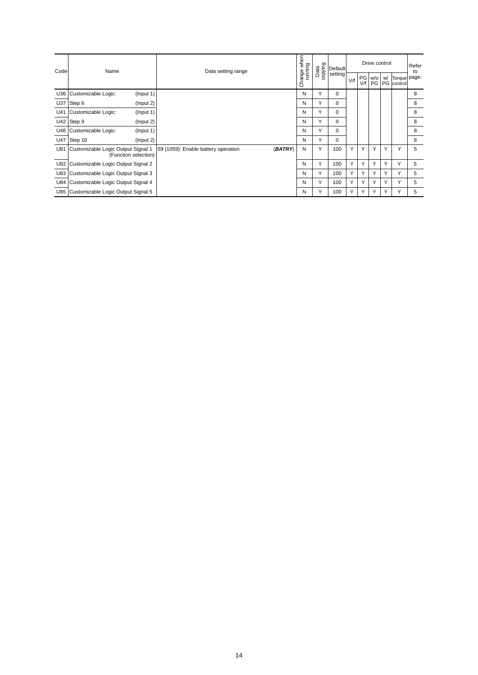| Code | Name                                                       | Data setting range                             | Change when | copying<br>Data | <b>Default</b> |     |     | Drive control |    | Refer<br>to                   |   |
|------|------------------------------------------------------------|------------------------------------------------|-------------|-----------------|----------------|-----|-----|---------------|----|-------------------------------|---|
|      |                                                            |                                                |             |                 | setting        | V/f | V/f | PG w/o        | w/ | Torque page:<br>PG PG control |   |
|      | U36 Customizable Logic:<br>(Input 1)                       |                                                | N           | Υ               | $\mathbf 0$    |     |     |               |    |                               | 8 |
| U37  | Step 8<br>(Input 2)                                        |                                                | N           | Υ               | $\mathbf 0$    |     |     |               |    |                               | 8 |
| U41  | Customizable Logic:<br>(Input 1)                           |                                                | N           | Υ               | $\mathbf 0$    |     |     |               |    |                               | 8 |
|      | U42 Step 9<br>(Input 2)                                    |                                                | N           | Y               | $\mathbf 0$    |     |     |               |    |                               | 8 |
|      | U46 Customizable Logic:<br>(Input 1)                       |                                                | N           | Υ               | 0              |     |     |               |    |                               | 8 |
|      | U47 Step 10<br>(Input 2)                                   |                                                | N           | Υ               | $\Omega$       |     |     |               |    |                               | 8 |
| U81  | Customizable Logic Output Signal 1<br>(Function selection) | 59 (1059): Enable battery operation<br>(BATRY) | N           | Y               | 100            | Y   | Υ   | Υ             | Υ  | Υ                             | 5 |
|      | U82 Customizable Logic Output Signal 2                     |                                                | N           | Υ               | 100            | Υ   | Υ   | Υ             | Υ  | Υ                             | 5 |
|      | U83 Customizable Logic Output Signal 3                     |                                                | N           | Y               | 100            | Y   | Υ   | Y             | Υ  | Y                             | 5 |
|      | U84 Customizable Logic Output Signal 4                     |                                                | N           | Υ               | 100            | Υ   | Υ   | Υ             | Υ  | Υ                             | 5 |
|      | U85 Customizable Logic Output Signal 5                     |                                                | N           | Y               | 100            | Υ   | Υ   | Υ             | Υ  | Υ                             | 5 |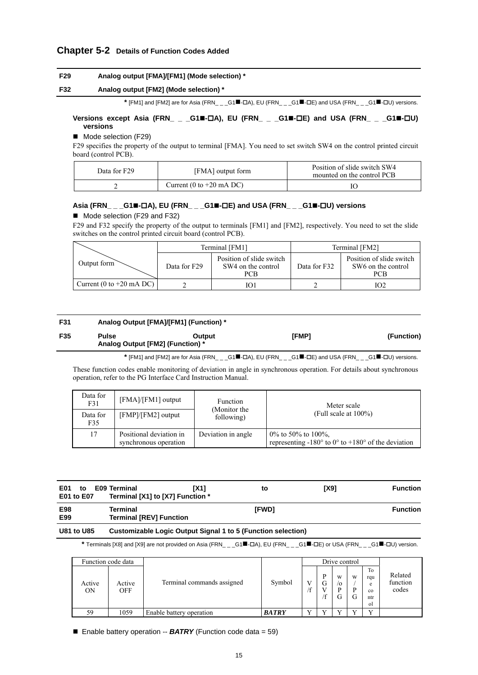## **Chapter 5-2 Details of Function Codes Added**

## **F29 Analog output [FMA]/[FM1] (Mode selection) \***

## **F32 Analog output [FM2] (Mode selection) \***

\* [FM1] and [FM2] are for Asia (FRN\_ \_ \_G1<sup>II</sup>-OA), EU (FRN\_ \_ \_G1<sup>II</sup>-OE) and USA (FRN\_ \_ \_G1<sup>II</sup>-OU) versions.

## **Versions except Asia (FRN\_ \_ \_G1-A), EU (FRN\_ \_ \_G1-E) and USA (FRN\_ \_ \_G1-U) versions**

## ■ Mode selection (F29)

F29 specifies the property of the output to terminal [FMA]. You need to set switch SW4 on the control printed circuit board (control PCB).

| Data for F29 | [FMA] output form          | Position of slide switch SW4<br>mounted on the control PCB |  |  |  |  |
|--------------|----------------------------|------------------------------------------------------------|--|--|--|--|
|              | Current (0 to $+20$ mA DC) |                                                            |  |  |  |  |

## **Asia (FRN\_ \_ \_G1-A), EU (FRN\_ \_ \_G1-E) and USA (FRN\_ \_ \_G1-U) versions**

## Mode selection (F29 and F32)

F29 and F32 specify the property of the output to terminals [FM1] and [FM2], respectively. You need to set the slide switches on the control printed circuit board (control PCB).

|                            |              | Terminal [FM1]                                                        | Terminal [FM2] |                                                       |  |  |
|----------------------------|--------------|-----------------------------------------------------------------------|----------------|-------------------------------------------------------|--|--|
| Output form                | Data for F29 | Position of slide switch<br>SW4 on the control<br>Data for F32<br>PCB |                | Position of slide switch<br>SW6 on the control<br>PCB |  |  |
| Current (0 to $+20$ mA DC) |              | O                                                                     |                | 102                                                   |  |  |

## **F31 Analog Output [FMA]/[FM1] (Function) \* F35 Pulse Output [FMP] (Function) Analog Output [FM2] (Function) \***

\* [FM1] and [FM2] are for Asia (FRN\_ \_ \_G1■-□A), EU (FRN\_ \_ \_G1■-□E) and USA (FRN\_ \_ \_G1■-□U) versions.

These function codes enable monitoring of deviation in angle in synchronous operation. For details about synchronous operation, refer to the PG Interface Card Instruction Manual.

| Data for<br>F31 | $[FMA]/[FM1]$ output                             | <b>Function</b><br>(Monitor the | Meter scale<br>(Full scale at $100\%$ )                                                                |  |  |  |
|-----------------|--------------------------------------------------|---------------------------------|--------------------------------------------------------------------------------------------------------|--|--|--|
| Data for<br>F35 | $[FMP]/[FM2]$ output                             | following)                      |                                                                                                        |  |  |  |
| 17              | Positional deviation in<br>synchronous operation | Deviation in angle              | $0\%$ to 50% to 100%.<br>representing -180 $\degree$ to 0 $\degree$ to +180 $\degree$ of the deviation |  |  |  |

| <b>E01</b><br>E01 to E07 | to E09 Terminal | <b>IX11</b><br>Terminal [X1] to [X7] Function * | to | <b>TX91</b> | <b>Function</b> |
|--------------------------|-----------------|-------------------------------------------------|----|-------------|-----------------|
|                          |                 |                                                 |    |             |                 |

| E98<br>E99 | Terminal<br><b>Terminal [REV] Function</b> | [FWD] | Function |
|------------|--------------------------------------------|-------|----------|
|            |                                            |       |          |

## **U81 to U85 Customizable Logic Output Signal 1 to 5 (Function selection)**

\* Terminals [X8] and [X9] are not provided on Asia (FRN\_ \_ \_G1■-**LA), EU (FRN\_ \_ \_G1■-LE)** or USA (FRN\_ \_ \_G1■-**LIU)** version.

| Function code data  |               |                            |              | Drive control |                   |                          |             |                                                      |                              |
|---------------------|---------------|----------------------------|--------------|---------------|-------------------|--------------------------|-------------|------------------------------------------------------|------------------------------|
| Active<br><b>ON</b> | Active<br>OFF | Terminal commands assigned | Symbol       | œ             | D<br>G<br>V<br>'f | w<br>$\alpha$<br>D<br>J. | W<br>D<br>G | To<br>rqu<br>e<br>$_{\rm co}$<br>ntr<br><sub>0</sub> | Related<br>function<br>codes |
| 59                  | 1059          | Enable battery operation   | <b>BATRY</b> |               | ٦T                |                          |             | $\mathbf{v}$                                         |                              |

■ Enable battery operation -- **BATRY** (Function code data = 59)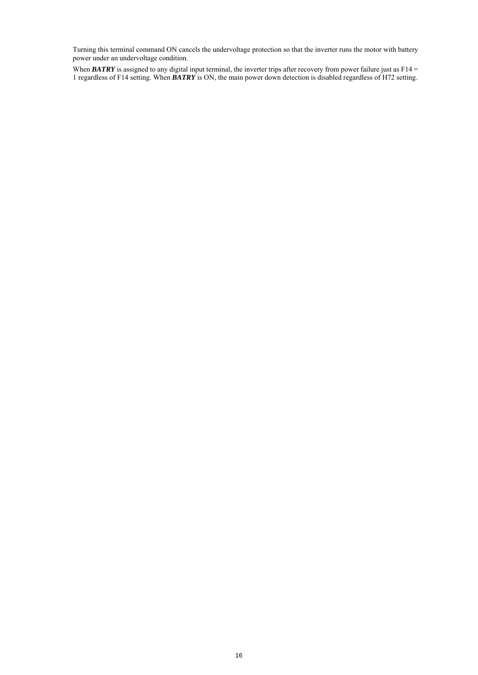Turning this terminal command ON cancels the undervoltage protection so that the inverter runs the motor with battery power under an undervoltage condition.

When **BATRY** is assigned to any digital input terminal, the inverter trips after recovery from power failure just as  $F14 =$ 1 regardless of F14 setting. When *BATRY* is ON, the main power down detection is disabled regardless of H72 setting.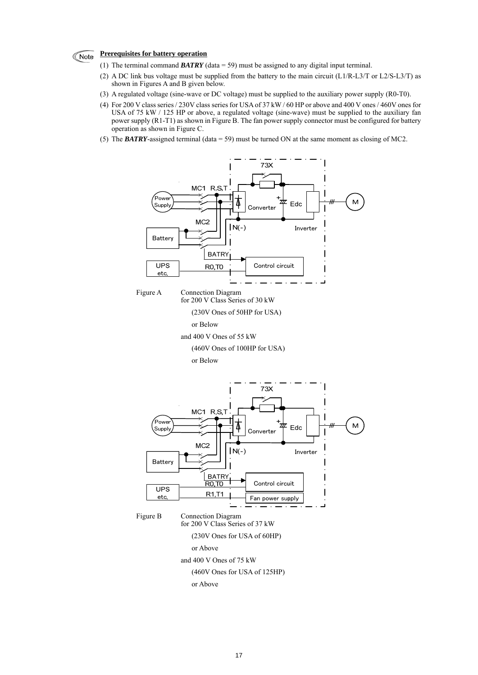#### **Prerequisites for battery operation Note**

- (1) The terminal command *BATRY* (data = 59) must be assigned to any digital input terminal.
- (2) A DC link bus voltage must be supplied from the battery to the main circuit  $(L1/R-L3/T)$  or L2/S-L3/T) as shown in Figures A and B given below.
- (3) A regulated voltage (sine-wave or DC voltage) must be supplied to the auxiliary power supply (R0-T0).
- (4) For 200 V class series / 230V class series for USA of 37 kW / 60 HP or above and 400 V ones / 460V ones for USA of 75 kW / 125 HP or above, a regulated voltage (sine-wave) must be supplied to the auxiliary fan power supply (R1-T1) as shown in Figure B. The fan power supply connector must be configured for battery operation as shown in Figure C.
- (5) The *BATRY*-assigned terminal (data = 59) must be turned ON at the same moment as closing of MC2.

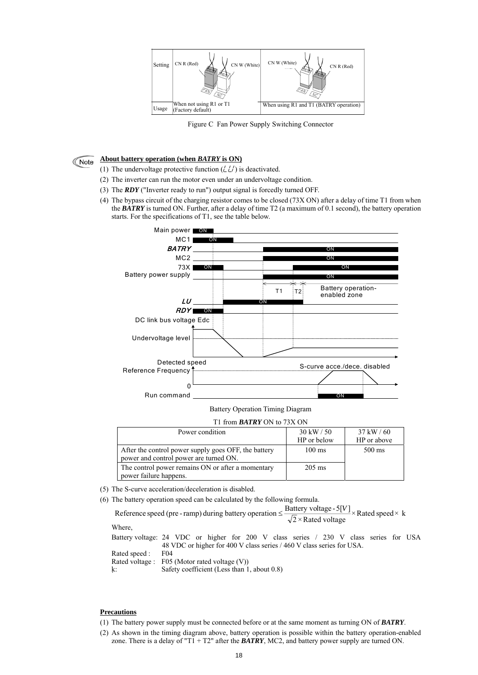

Figure C Fan Power Supply Switching Connector

#### **About battery operation (when** *BATRY* **is ON)** Note

- (1) The undervoltage protective function  $(\angle L')$  is deactivated.
- (2) The inverter can run the motor even under an undervoltage condition.
- (3) The *RDY* ("Inverter ready to run") output signal is forcedly turned OFF.
- (4) The bypass circuit of the charging resistor comes to be closed (73X ON) after a delay of time T1 from when the *BATRY* is turned ON. Further, after a delay of time T2 (a maximum of 0.1 second), the battery operation starts. For the specifications of T1, see the table below.



Battery Operation Timing Diagram

T1 from *BATRY* ON to 73X ON

| Power condition                                                                                | $30 \text{ kW} / 50$<br>HP or below | $37$ kW / 60<br>HP or above |
|------------------------------------------------------------------------------------------------|-------------------------------------|-----------------------------|
| After the control power supply goes OFF, the battery<br>power and control power are turned ON. | $100 \text{ ms}$                    | $500 \text{ ms}$            |
| The control power remains ON or after a momentary<br>power failure happens.                    | $205 \text{ ms}$                    |                             |

- (5) The S-curve acceleration/deceleration is disabled.
- (6) The battery operation speed can be calculated by the following formula.

Reference speed (pre - ramp) during battery operation  $\leq \frac{\text{Battery voltage - 5}[V]}{\sqrt{2}} \times \text{Rated speed} \times k$  $\sqrt{2}$  × Rated voltage Where, Battery voltage: 24 VDC or higher for 200 V class series / 230 V class series for USA 48 VDC or higher for 400 V class series / 460 V class series for USA. Rated speed : F04 Rated voltage : F05 (Motor rated voltage (V)) k: Safety coefficient (Less than 1, about 0.8)

## **Precautions**

- (1) The battery power supply must be connected before or at the same moment as turning ON of *BATRY*.
- (2) As shown in the timing diagram above, battery operation is possible within the battery operation-enabled zone. There is a delay of "T1 + T2" after the *BATRY*, MC2, and battery power supply are turned ON.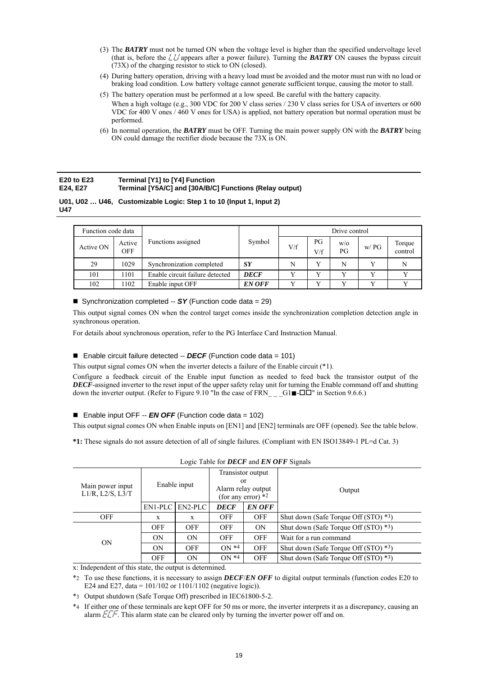- (3) The *BATRY* must not be turned ON when the voltage level is higher than the specified undervoltage level (that is, before the  $\angle \angle \angle$  appears after a power failure). Turning the **BATRY** ON causes the bypass circuit (73X) of the charging resistor to stick to ON (closed).
- (4) During battery operation, driving with a heavy load must be avoided and the motor must run with no load or braking load condition. Low battery voltage cannot generate sufficient torque, causing the motor to stall.
- (5) The battery operation must be performed at a low speed. Be careful with the battery capacity. When a high voltage (e.g., 300 VDC for 200 V class series / 230 V class series for USA of inverters or 600 VDC for 400 V ones / 460 V ones for USA) is applied, not battery operation but normal operation must be performed.
- (6) In normal operation, the *BATRY* must be OFF. Turning the main power supply ON with the *BATRY* being ON could damage the rectifier diode because the 73X is ON.

#### **E20 to E23 E24, E27 Terminal [Y1] to [Y4] Function Terminal [Y5A/C] and [30A/B/C] Functions (Relay output)**

## **U01, U02 … U46, Customizable Logic: Step 1 to 10 (Input 1, Input 2) U47**

| Function code data |                      |                                 |               | Drive control |              |           |              |                   |  |  |  |
|--------------------|----------------------|---------------------------------|---------------|---------------|--------------|-----------|--------------|-------------------|--|--|--|
| Active ON          | Active<br><b>OFF</b> | Functions assigned              | Symbol        | V/f           | PG<br>V/f    | W/O<br>PG | W/PG         | Torque<br>control |  |  |  |
| 29                 | 1029                 | Synchronization completed       | N             | $\mathbf{v}$  | N            |           | N            |                   |  |  |  |
| 101                | 1101                 | Enable circuit failure detected | <b>DECF</b>   |               | $\mathbf{v}$ | v         | $\mathbf{v}$ |                   |  |  |  |
| 102                | 1102                 | Enable input OFF                | <b>EN OFF</b> |               | $\mathbf{v}$ | v         |              |                   |  |  |  |

■ Synchronization completed -- **SY** (Function code data = 29)

This output signal comes ON when the control target comes inside the synchronization completion detection angle in synchronous operation.

For details about synchronous operation, refer to the PG Interface Card Instruction Manual.

## ■ Enable circuit failure detected -- *DECF* (Function code data = 101)

This output signal comes ON when the inverter detects a failure of the Enable circuit (\*1).

Configure a feedback circuit of the Enable input function as needed to feed back the transistor output of the *DECF*-assigned inverter to the reset input of the upper safety relay unit for turning the Enable command off and shutting down the inverter output. (Refer to Figure 9.10 "In the case of FRN  $\qquad$  G1 $\blacksquare$ - $\square\square$ " in Section 9.6.6.)

## ■ Enable input OFF -- *EN OFF* (Function code data = 102)

This output signal comes ON when Enable inputs on [EN1] and [EN2] terminals are OFF (opened). See the table below.

**\*1:** These signals do not assure detection of all of single failures. (Compliant with EN ISO13849-1 PL=d Cat. 3)

|                                              | LOCIC THUIC TOI DECT and Env OT I DIGHAIS |              |                          |                                                                 |                                                    |  |  |  |  |  |  |  |
|----------------------------------------------|-------------------------------------------|--------------|--------------------------|-----------------------------------------------------------------|----------------------------------------------------|--|--|--|--|--|--|--|
| Main power input<br>$L1/R$ , $L2/S$ , $L3/T$ |                                           | Enable input | or                       | Transistor output<br>Alarm relay output<br>(for any error) $*2$ | Output                                             |  |  |  |  |  |  |  |
|                                              | EN2-PLC<br>EN1-PLC                        |              | <b>DECF</b>              | <b>EN OFF</b>                                                   |                                                    |  |  |  |  |  |  |  |
| <b>OFF</b>                                   | X                                         | X            | <b>OFF</b><br><b>OFF</b> |                                                                 | Shut down (Safe Torque Off $(STO)$ <sup>*3</sup> ) |  |  |  |  |  |  |  |
|                                              | <b>OFF</b>                                | <b>OFF</b>   | <b>OFF</b>               | <b>ON</b>                                                       | Shut down (Safe Torque Off (STO) *3)               |  |  |  |  |  |  |  |
| <b>ON</b>                                    | ON                                        | ON           | <b>OFF</b>               | <b>OFF</b>                                                      | Wait for a run command                             |  |  |  |  |  |  |  |
|                                              | ON                                        | <b>OFF</b>   | $ON*4$                   | <b>OFF</b>                                                      | Shut down (Safe Torque Off (STO) *3)               |  |  |  |  |  |  |  |
|                                              | <b>OFF</b>                                | ON           | $ON*4$                   | <b>OFF</b>                                                      | Shut down (Safe Torque Off $(STO)$ *3)             |  |  |  |  |  |  |  |

|  |  |  | Logic Table for <b>DECF</b> and <b>EN OFF</b> Signals |
|--|--|--|-------------------------------------------------------|
|  |  |  |                                                       |

x: Independent of this state, the output is determined.

\*2 To use these functions, it is necessary to assign *DECF*/*EN OFF* to digital output terminals (function codes E20 to E24 and E27, data =  $101/102$  or  $1101/1102$  (negative logic)).

\*3 Output shutdown (Safe Torque Off) prescribed in IEC61800-5-2.

\*4 If either one of these terminals are kept OFF for 50 ms or more, the inverter interprets it as a discrepancy, causing an alarm  $ETF$ . This alarm state can be cleared only by turning the inverter power off and on.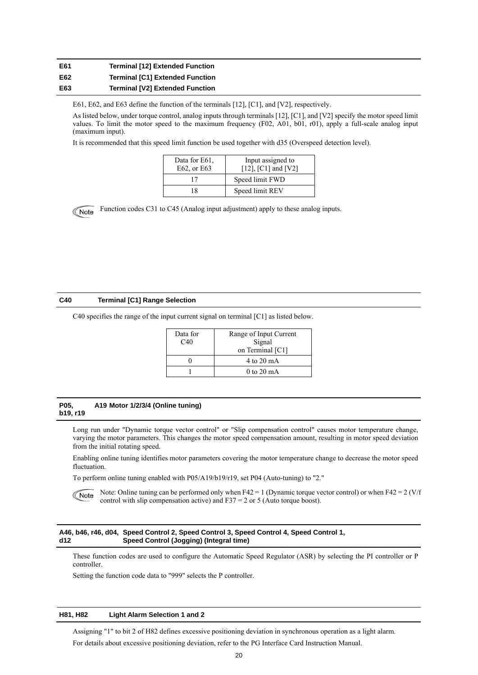#### **E61 E62 E63 Terminal [12] Extended Function Terminal [C1] Extended Function Terminal [V2] Extended Function**

E61, E62, and E63 define the function of the terminals [12], [C1], and [V2], respectively.

As listed below, under torque control, analog inputs through terminals [12], [C1], and [V2] specify the motor speed limit values. To limit the motor speed to the maximum frequency (F02, A01, b01, r01), apply a full-scale analog input (maximum input).

It is recommended that this speed limit function be used together with d35 (Overspeed detection level).

| Data for E61.<br>E62, or E63 | Input assigned to<br>$[12]$ , $[C1]$ and $[V2]$ |
|------------------------------|-------------------------------------------------|
| 17                           | Speed limit FWD                                 |
| 18                           | Speed limit REV                                 |



Function codes C31 to C45 (Analog input adjustment) apply to these analog inputs.

## **C40 Terminal [C1] Range Selection**

C40 specifies the range of the input current signal on terminal [C1] as listed below.

| Data for<br>C40 | Range of Input Current<br>Signal<br>on Terminal [C1] |
|-----------------|------------------------------------------------------|
|                 | 4 to 20 mA                                           |
|                 | $0$ to 20 mA                                         |

## **P05, A19 Motor 1/2/3/4 (Online tuning) b19, r19**

Long run under "Dynamic torque vector control" or "Slip compensation control" causes motor temperature change, varying the motor parameters. This changes the motor speed compensation amount, resulting in motor speed deviation from the initial rotating speed.

Enabling online tuning identifies motor parameters covering the motor temperature change to decrease the motor speed fluctuation.

To perform online tuning enabled with P05/A19/b19/r19, set P04 (Auto-tuning) to "2."

Note: Online tuning can be performed only when  $F42 = 1$  (Dynamic torque vector control) or when  $F42 = 2$  (V/f Note control with slip compensation active) and  $F37 = 2$  or 5 (Auto torque boost).

#### **A46, b46, r46, d04, Speed Control 2, Speed Control 3, Speed Control 4, Speed Control 1, d12 Speed Control (Jogging) (Integral time)**

These function codes are used to configure the Automatic Speed Regulator (ASR) by selecting the PI controller or P controller.

Setting the function code data to "999" selects the P controller.

## **H81, H82 Light Alarm Selection 1 and 2**

Assigning "1" to bit 2 of H82 defines excessive positioning deviation in synchronous operation as a light alarm. For details about excessive positioning deviation, refer to the PG Interface Card Instruction Manual.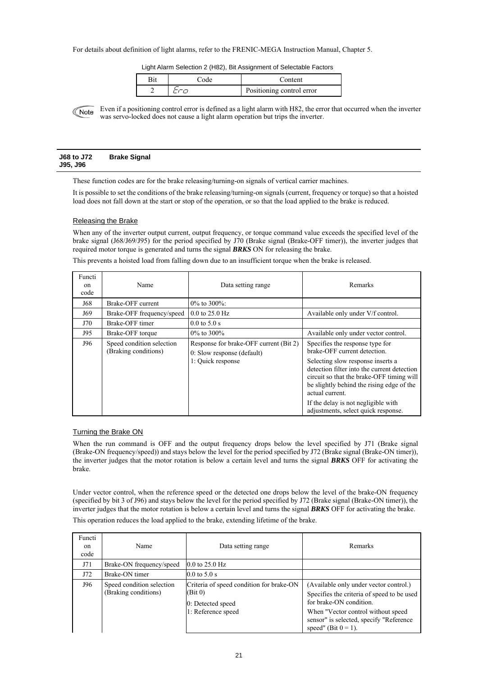## For details about definition of light alarms, refer to the FRENIC-MEGA Instruction Manual, Chapter 5.

Light Alarm Selection 2 (H82), Bit Assignment of Selectable Factors

| Code | Content                   |
|------|---------------------------|
|      | Positioning control error |

Even if a positioning control error is defined as a light alarm with H82, the error that occurred when the inverter Note was servo-locked does not cause a light alarm operation but trips the inverter.

| J68 to J72 | <b>Brake Signal</b> |
|------------|---------------------|
| J95, J96   |                     |

These function codes are for the brake releasing/turning-on signals of vertical carrier machines.

It is possible to set the conditions of the brake releasing/turning-on signals (current, frequency or torque) so that a hoisted load does not fall down at the start or stop of the operation, or so that the load applied to the brake is reduced.

## Releasing the Brake

When any of the inverter output current, output frequency, or torque command value exceeds the specified level of the brake signal (J68/J69/J95) for the period specified by J70 (Brake signal (Brake-OFF timer)), the inverter judges that required motor torque is generated and turns the signal *BRKS* ON for releasing the brake.

This prevents a hoisted load from falling down due to an insufficient torque when the brake is released.

| Functi<br>on<br>code | Name                                              | Data setting range                                                                        | Remarks                                                                                                                                                                                                                                                                                                                                        |
|----------------------|---------------------------------------------------|-------------------------------------------------------------------------------------------|------------------------------------------------------------------------------------------------------------------------------------------------------------------------------------------------------------------------------------------------------------------------------------------------------------------------------------------------|
| J68                  | Brake-OFF current                                 | $0\%$ to 300\%                                                                            |                                                                                                                                                                                                                                                                                                                                                |
| J69                  | Brake-OFF frequency/speed                         | $0.0$ to 25.0 Hz                                                                          | Available only under V/f control.                                                                                                                                                                                                                                                                                                              |
| J70                  | Brake-OFF timer                                   | $0.0$ to 5.0 s                                                                            |                                                                                                                                                                                                                                                                                                                                                |
| J95                  | Brake-OFF torque                                  | $0\%$ to 300\%                                                                            | Available only under vector control.                                                                                                                                                                                                                                                                                                           |
| J96                  | Speed condition selection<br>(Braking conditions) | Response for brake-OFF current (Bit 2)<br>0: Slow response (default)<br>1: Quick response | Specifies the response type for<br>brake-OFF current detection.<br>Selecting slow response inserts a<br>detection filter into the current detection<br>circuit so that the brake-OFF timing will<br>be slightly behind the rising edge of the<br>actual current.<br>If the delay is not negligible with<br>adjustments, select quick response. |

## Turning the Brake ON

When the run command is OFF and the output frequency drops below the level specified by J71 (Brake signal (Brake-ON frequency/speed)) and stays below the level for the period specified by J72 (Brake signal (Brake-ON timer)), the inverter judges that the motor rotation is below a certain level and turns the signal *BRKS* OFF for activating the brake.

Under vector control, when the reference speed or the detected one drops below the level of the brake-ON frequency (specified by bit 3 of J96) and stays below the level for the period specified by J72 (Brake signal (Brake-ON timer)), the inverter judges that the motor rotation is below a certain level and turns the signal *BRKS* OFF for activating the brake.

This operation reduces the load applied to the brake, extending lifetime of the brake.

| Functi<br>on<br>code | Name                                              | Data setting range                                                                             | Remarks                                                                                                                                                                                                                    |
|----------------------|---------------------------------------------------|------------------------------------------------------------------------------------------------|----------------------------------------------------------------------------------------------------------------------------------------------------------------------------------------------------------------------------|
| J71                  | Brake-ON frequency/speed                          | $0.0$ to $25.0$ Hz                                                                             |                                                                                                                                                                                                                            |
| J72                  | Brake-ON timer                                    | $0.0 \text{ to } 5.0 \text{ s}$                                                                |                                                                                                                                                                                                                            |
| J96                  | Speed condition selection<br>(Braking conditions) | Criteria of speed condition for brake-ON<br>(Bit 0)<br>0: Detected speed<br>1: Reference speed | (Available only under vector control.)<br>Specifies the criteria of speed to be used<br>for brake-ON condition.<br>When "Vector control without speed<br>sensor" is selected, specify "Reference<br>speed" (Bit $0 = 1$ ). |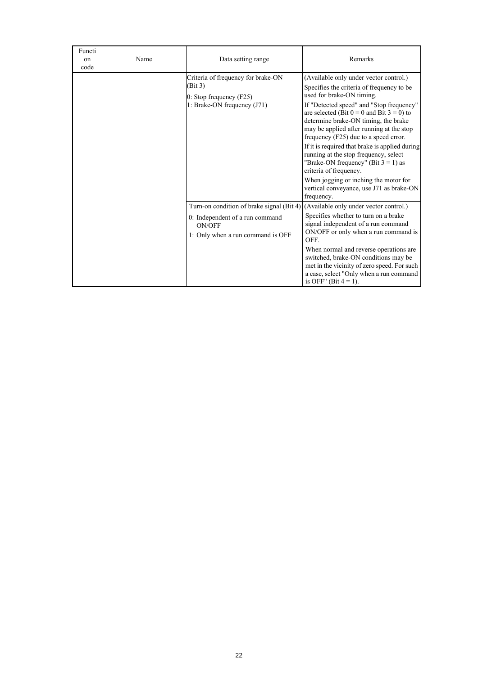| Functi<br>on<br>code | Name | Data setting range                                                                                                                                                 | Remarks                                                                                                                                                                                                                                                                                                                                                                                                                                                                                                                                                                                                       |
|----------------------|------|--------------------------------------------------------------------------------------------------------------------------------------------------------------------|---------------------------------------------------------------------------------------------------------------------------------------------------------------------------------------------------------------------------------------------------------------------------------------------------------------------------------------------------------------------------------------------------------------------------------------------------------------------------------------------------------------------------------------------------------------------------------------------------------------|
|                      |      | Criteria of frequency for brake-ON<br>(Bit 3)<br>0: Stop frequency $(F25)$<br>1: Brake-ON frequency (J71)                                                          | (Available only under vector control.)<br>Specifies the criteria of frequency to be<br>used for brake-ON timing.<br>If "Detected speed" and "Stop frequency"<br>are selected (Bit $0 = 0$ and Bit $3 = 0$ ) to<br>determine brake-ON timing, the brake<br>may be applied after running at the stop<br>frequency (F25) due to a speed error.<br>If it is required that brake is applied during<br>running at the stop frequency, select<br>"Brake-ON frequency" (Bit $3 = 1$ ) as<br>criteria of frequency.<br>When jogging or inching the motor for<br>vertical conveyance, use J71 as brake-ON<br>frequency. |
|                      |      | Turn-on condition of brake signal (Bit 4) (Available only under vector control.)<br>0: Independent of a run command<br>ON/OFF<br>1: Only when a run command is OFF | Specifies whether to turn on a brake<br>signal independent of a run command<br>ON/OFF or only when a run command is<br>OEF<br>When normal and reverse operations are<br>switched, brake-ON conditions may be<br>met in the vicinity of zero speed. For such<br>a case, select "Only when a run command"<br>is OFF" (Bit $4 = 1$ ).                                                                                                                                                                                                                                                                            |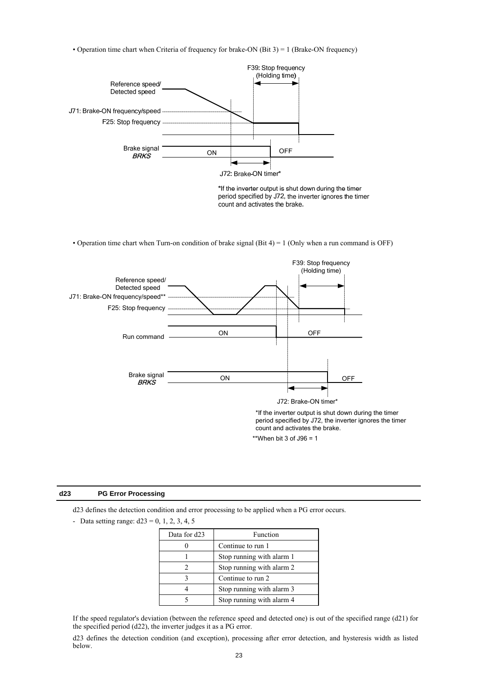• Operation time chart when Criteria of frequency for brake-ON (Bit 3) = 1 (Brake-ON frequency)



\*If the inverter output is shut down during the timer period specified by J72, the inverter ignores the timer count and activates the brake.

• Operation time chart when Turn-on condition of brake signal (Bit 4) = 1 (Only when a run command is OFF)



## **d23 PG Error Processing**

d23 defines the detection condition and error processing to be applied when a PG error occurs.

- Data setting range:  $d23 = 0, 1, 2, 3, 4, 5$ 

| Data for d23 | Function                  |
|--------------|---------------------------|
|              | Continue to run 1         |
|              | Stop running with alarm 1 |
|              | Stop running with alarm 2 |
|              | Continue to run 2         |
|              | Stop running with alarm 3 |
|              | Stop running with alarm 4 |

If the speed regulator's deviation (between the reference speed and detected one) is out of the specified range (d21) for the specified period (d22), the inverter judges it as a PG error.

d23 defines the detection condition (and exception), processing after error detection, and hysteresis width as listed below.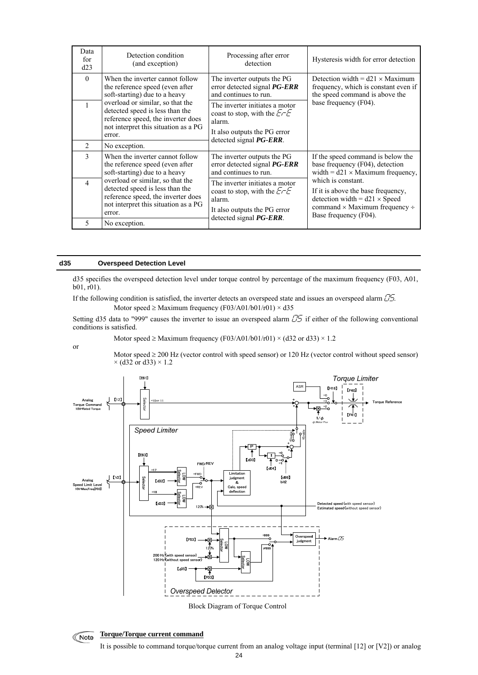| Data<br>for<br>d23 | Detection condition<br>(and exception)                                                                                                                      | Processing after error<br>detection                                                                                                | Hysteresis width for error detection                                                                                                                                   |
|--------------------|-------------------------------------------------------------------------------------------------------------------------------------------------------------|------------------------------------------------------------------------------------------------------------------------------------|------------------------------------------------------------------------------------------------------------------------------------------------------------------------|
| $\Omega$           | When the inverter cannot follow<br>the reference speed (even after<br>soft-starting) due to a heavy                                                         | The inverter outputs the PG<br>error detected signal <b>PG-ERR</b><br>and continues to run.                                        | Detection width = $d21 \times$ Maximum<br>frequency, which is constant even if<br>the speed command is above the                                                       |
|                    | overload or similar, so that the<br>detected speed is less than the<br>reference speed, the inverter does<br>not interpret this situation as a PG<br>error. | base frequency (F04).<br>The inverter initiates a motor<br>coast to stop, with the $E-E$<br>alarm.<br>It also outputs the PG error |                                                                                                                                                                        |
| $\mathfrak{D}$     | No exception.                                                                                                                                               | detected signal <b>PG-ERR</b> .                                                                                                    |                                                                                                                                                                        |
| $\mathbf{3}$       | When the inverter cannot follow<br>the reference speed (even after<br>soft-starting) due to a heavy                                                         | The inverter outputs the PG<br>error detected signal <b>PG-ERR</b><br>and continues to run.                                        | If the speed command is below the<br>base frequency (F04), detection<br>width = $d21 \times$ Maximum frequency,                                                        |
| $\overline{4}$     | overload or similar, so that the<br>detected speed is less than the<br>reference speed, the inverter does<br>not interpret this situation as a PG<br>error. | The inverter initiates a motor<br>coast to stop, with the $E - E$<br>alarm.<br>It also outputs the PG error                        | which is constant.<br>If it is above the base frequency,<br>detection width = $d21 \times Speed$<br>command $\times$ Maximum frequency $\div$<br>Base frequency (F04). |
| 5                  | No exception.                                                                                                                                               | detected signal <b>PG-ERR</b> .                                                                                                    |                                                                                                                                                                        |

## **d35 Overspeed Detection Level**

d35 specifies the overspeed detection level under torque control by percentage of the maximum frequency (F03, A01, b01, r01).

If the following condition is satisfied, the inverter detects an overspeed state and issues an overspeed alarm  $\mathcal{D}$ . Motor speed  $\geq$  Maximum frequency (F03/A01/b01/r01)  $\times$  d35

Setting d35 data to "999" causes the inverter to issue an overspeed alarm  $\mathbb{C}$  if either of the following conventional conditions is satisfied.

or

Motor speed  $\geq$  Maximum frequency (F03/A01/b01/r01)  $\times$  (d32 or d33)  $\times$  1.2

Motor speed ≥ 200 Hz (vector control with speed sensor) or 120 Hz (vector control without speed sensor)  $\times$  (d32 or d33)  $\times$  1.2



Block Diagram of Torque Control

**Torque/Torque current command Note**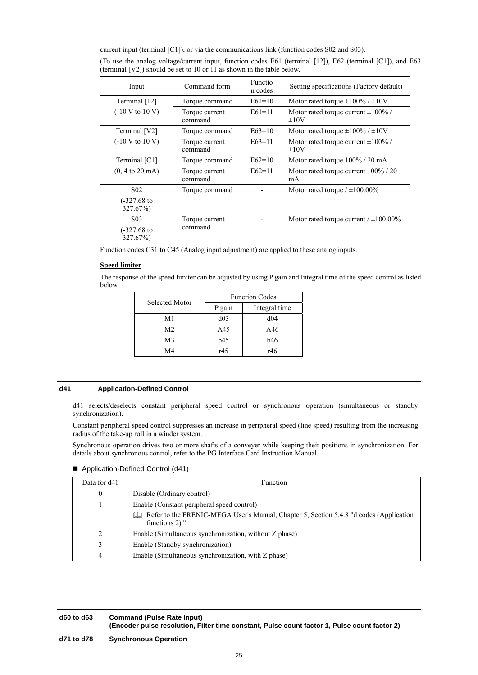current input (terminal [C1]), or via the communications link (function codes S02 and S03).

| Input                                          | Command form              | <b>Functio</b><br>n codes | Setting specifications (Factory default)              |
|------------------------------------------------|---------------------------|---------------------------|-------------------------------------------------------|
| Terminal [12]                                  | Torque command            | $E61=10$                  | Motor rated torque $\pm 100\%$ / $\pm 10V$            |
| $(-10 V to 10 V)$                              | Torque current<br>command | $E61=11$                  | Motor rated torque current $\pm 100\%$ /<br>$\pm 10V$ |
| Terminal [V2]                                  | Torque command            | $E63=10$                  | Motor rated torque $\pm 100\%$ / $\pm 10V$            |
| $(-10 V to 10 V)$                              | Torque current<br>command | $E63=11$                  | Motor rated torque current $\pm 100\%$ /<br>$\pm 10V$ |
| Terminal [C1]                                  | Torque command            | $E62=10$                  | Motor rated torque 100% / 20 mA                       |
| $(0, 4 \text{ to } 20 \text{ mA})$             | Torque current<br>command | $E62=11$                  | Motor rated torque current 100% / 20<br>mA            |
| S <sub>0</sub> 2                               | Torque command            |                           | Motor rated torque $/ \pm 100.00\%$                   |
| $(-327.68)$ to<br>327.67%)                     |                           |                           |                                                       |
| S <sub>0</sub> 3<br>$(-327.68)$ to<br>327.67%) | Torque current<br>command |                           | Motor rated torque current $/ \pm 100.00\%$           |

(To use the analog voltage/current input, function codes E61 (terminal [12]), E62 (terminal [C1]), and E63 (terminal [V2]) should be set to 10 or 11 as shown in the table below.

Function codes C31 to C45 (Analog input adjustment) are applied to these analog inputs.

## **Speed limiter**

The response of the speed limiter can be adjusted by using P gain and Integral time of the speed control as listed below.

| Selected Motor | <b>Function Codes</b> |               |  |
|----------------|-----------------------|---------------|--|
|                | P gain                | Integral time |  |
| M1             | d03                   | d04           |  |
| M <sub>2</sub> | A45                   | A46           |  |
| M <sub>3</sub> | <b>b</b> 45           | b46           |  |
| M4             | r45                   | r46           |  |

## **d41 Application-Defined Control**

d41 selects/deselects constant peripheral speed control or synchronous operation (simultaneous or standby synchronization).

Constant peripheral speed control suppresses an increase in peripheral speed (line speed) resulting from the increasing radius of the take-up roll in a winder system.

Synchronous operation drives two or more shafts of a conveyer while keeping their positions in synchronization. For details about synchronous control, refer to the PG Interface Card Instruction Manual.

■ Application-Defined Control (d41)

| Data for d41 | Function                                                                                                       |
|--------------|----------------------------------------------------------------------------------------------------------------|
|              | Disable (Ordinary control)                                                                                     |
|              | Enable (Constant peripheral speed control)                                                                     |
|              | Refer to the FRENIC-MEGA User's Manual, Chapter 5, Section 5.4.8 "d codes (Application<br>LЧ<br>functions 2)." |
|              | Enable (Simultaneous synchronization, without Z phase)                                                         |
|              | Enable (Standby synchronization)                                                                               |
|              | Enable (Simultaneous synchronization, with Z phase)                                                            |

## **d60 to d63 Command (Pulse Rate Input) (Encoder pulse resolution, Filter time constant, Pulse count factor 1, Pulse count factor 2) d71 to d78 Synchronous Operation**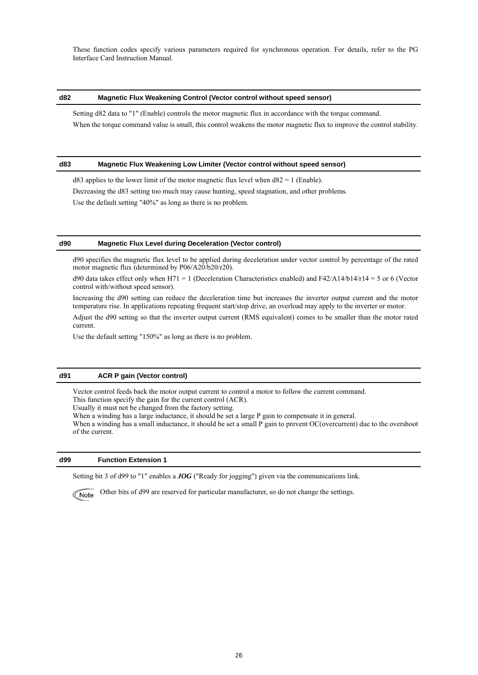These function codes specify various parameters required for synchronous operation. For details, refer to the PG Interface Card Instruction Manual.

## **d82 Magnetic Flux Weakening Control (Vector control without speed sensor)**

Setting d82 data to "1" (Enable) controls the motor magnetic flux in accordance with the torque command. When the torque command value is small, this control weakens the motor magnetic flux to improve the control stability.

### **d83 Magnetic Flux Weakening Low Limiter (Vector control without speed sensor)**

 $d83$  applies to the lower limit of the motor magnetic flux level when  $d82 = 1$  (Enable).

Decreasing the d83 setting too much may cause hunting, speed stagnation, and other problems.

Use the default setting "40%" as long as there is no problem.

## **d90 Magnetic Flux Level during Deceleration (Vector control)**

d90 specifies the magnetic flux level to be applied during deceleration under vector control by percentage of the rated motor magnetic flux (determined by P06/A20/b20/r20).

d90 data takes effect only when H71 = 1 (Deceleration Characteristics enabled) and  $F42/A14/b14/r14 = 5$  or 6 (Vector control with/without speed sensor).

Increasing the d90 setting can reduce the deceleration time but increases the inverter output current and the motor temperature rise. In applications repeating frequent start/stop drive, an overload may apply to the inverter or motor.

Adjust the d90 setting so that the inverter output current (RMS equivalent) comes to be smaller than the motor rated current.

Use the default setting "150%" as long as there is no problem.

## **d91 ACR P gain (Vector control)**

Vector control feeds back the motor output current to control a motor to follow the current command. This function specify the gain for the current control (ACR).

Usually it must not be changed from the factory setting.

When a winding has a large inductance, it should be set a large P gain to compensate it in general.

When a winding has a small inductance, it should be set a small P gain to prevent OC(overcurrent) due to the overshoot of the current.

## **d99 Function Extension 1**

Setting bit 3 of d99 to "1" enables a *JOG* ("Ready for jogging") given via the communications link.

Other bits of d99 are reserved for particular manufacturer, so do not change the settings. Note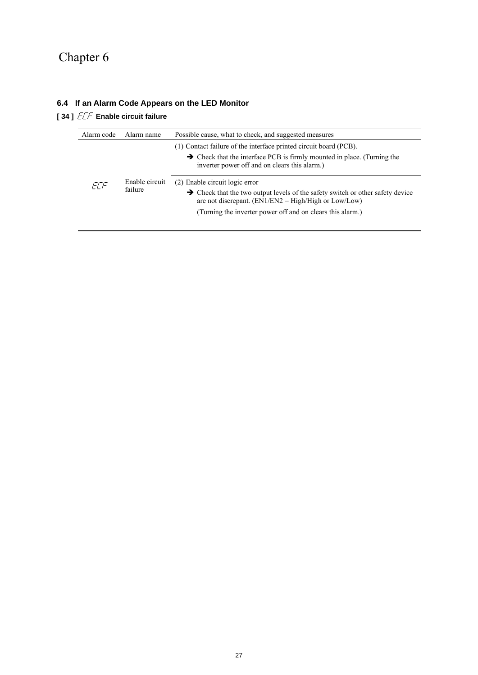# Chapter 6

## **6.4 If an Alarm Code Appears on the LED Monitor**

**[34]**  $E\bar{F}$  **Enable circuit failure** 

| Alarm code | Alarm name                | Possible cause, what to check, and suggested measures                                                                                                                                                     |  |  |
|------------|---------------------------|-----------------------------------------------------------------------------------------------------------------------------------------------------------------------------------------------------------|--|--|
| FTF        | Enable circuit<br>failure | (1) Contact failure of the interface printed circuit board (PCB).<br>$\rightarrow$ Check that the interface PCB is firmly mounted in place. (Turning the<br>inverter power off and on clears this alarm.) |  |  |
|            |                           | (2) Enable circuit logic error                                                                                                                                                                            |  |  |
|            |                           | $\rightarrow$ Check that the two output levels of the safety switch or other safety device<br>are not discrepant. $(EN1/EN2 = High/High \text{ or } Low/Low)$                                             |  |  |
|            |                           | (Turning the inverter power off and on clears this alarm.)                                                                                                                                                |  |  |
|            |                           |                                                                                                                                                                                                           |  |  |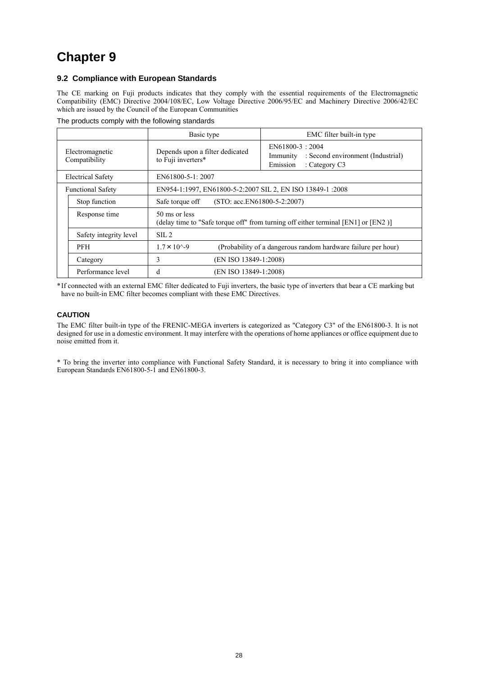# **Chapter 9**

## **9.2 Compliance with European Standards**

The CE marking on Fuji products indicates that they comply with the essential requirements of the Electromagnetic Compatibility (EMC) Directive 2004/108/EC, Low Voltage Directive 2006/95/EC and Machinery Directive 2006/42/EC which are issued by the Council of the European Communities

The products comply with the following standards

|                                  | Basic type                                                                                          | EMC filter built-in type                                                                      |  |  |
|----------------------------------|-----------------------------------------------------------------------------------------------------|-----------------------------------------------------------------------------------------------|--|--|
| Electromagnetic<br>Compatibility | Depends upon a filter dedicated<br>to Fuji inverters*                                               | $EN61800-3:2004$<br>Immunity : Second environment (Industrial)<br>Emission<br>: Category $C3$ |  |  |
| <b>Electrical Safety</b>         | EN61800-5-1: 2007                                                                                   |                                                                                               |  |  |
| <b>Functional Safety</b>         | EN954-1:1997, EN61800-5-2:2007 SIL 2, EN ISO 13849-1:2008                                           |                                                                                               |  |  |
| Stop function                    | $(STO: acc.EN61800-5-2:2007)$<br>Safe torque off                                                    |                                                                                               |  |  |
| Response time                    | 50 ms or less<br>(delay time to "Safe torque off" from turning off either terminal [EN1] or [EN2 )] |                                                                                               |  |  |
| Safety integrity level           | $\text{SIL} 2$                                                                                      |                                                                                               |  |  |
| <b>PFH</b>                       | $1.7 \times 10^{3} - 9$<br>(Probability of a dangerous random hardware failure per hour)            |                                                                                               |  |  |
| Category                         | 3                                                                                                   | (EN ISO 13849-1:2008)                                                                         |  |  |
| Performance level                | d<br>(EN ISO 13849-1:2008)                                                                          |                                                                                               |  |  |

\* If connected with an external EMC filter dedicated to Fuji inverters, the basic type of inverters that bear a CE marking but have no built-in EMC filter becomes compliant with these EMC Directives.

## **CAUTION**

The EMC filter built-in type of the FRENIC-MEGA inverters is categorized as "Category C3" of the EN61800-3. It is not designed for use in a domestic environment. It may interfere with the operations of home appliances or office equipment due to noise emitted from it.

\* To bring the inverter into compliance with Functional Safety Standard, it is necessary to bring it into compliance with European Standards EN61800-5-1 and EN61800-3.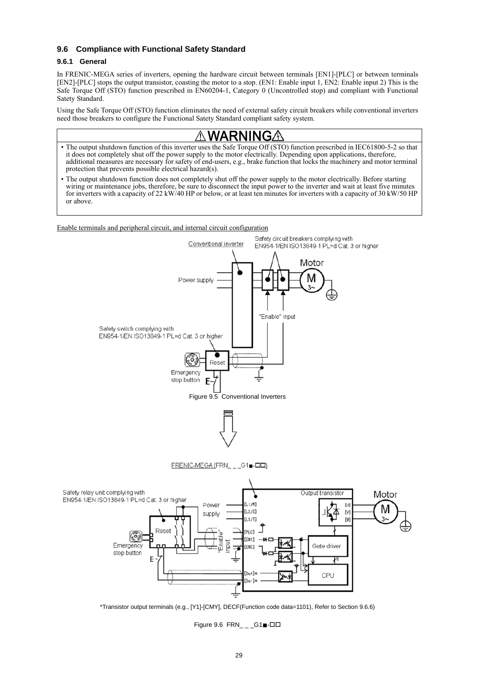## **9.6 Compliance with Functional Safety Standard**

## **9.6.1 General**

In FRENIC-MEGA series of inverters, opening the hardware circuit between terminals [EN1]-[PLC] or between terminals [EN2]-[PLC] stops the output transistor, coasting the motor to a stop. (EN1: Enable input 1, EN2: Enable input 2) This is the Safe Torque Off (STO) function prescribed in EN60204-1, Category 0 (Uncontrolled stop) and compliant with Functional Satety Standard.

Using the Safe Torque Off (STO) function eliminates the need of external safety circuit breakers while conventional inverters need those breakers to configure the Functional Satety Standard compliant safety system.

# WARNINGA

- The output shutdown function of this inverter uses the Safe Torque Off (STO) function prescribed in IEC61800-5-2 so that it does not completely shut off the power supply to the motor electrically. Depending upon applications, therefore, additional measures are necessary for safety of end-users, e.g., brake function that locks the machinery and motor terminal protection that prevents possible electrical hazard(s).
- The output shutdown function does not completely shut off the power supply to the motor electrically. Before starting wiring or maintenance jobs, therefore, be sure to disconnect the input power to the inverter and wait at least five minutes for inverters with a capacity of 22 kW/40 HP or below, or at least ten minutes for inverters with a capacity of 30 kW/50 HP or above.

Enable terminals and peripheral circuit, and internal circuit configuration



\*Transistor output terminals (e.g., [Y1]-[CMY], DECF(Function code data=1101), Refer to Section 9.6.6)

Figure 9.6  $FRN_{-}$   $_G1$  -DD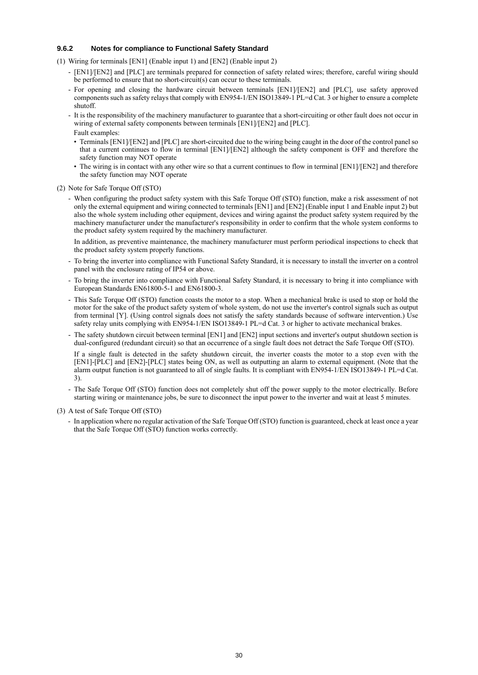## **9.6.2 Notes for compliance to Functional Safety Standard**

- (1) Wiring for terminals [EN1] (Enable input 1) and [EN2] (Enable input 2)
	- [EN1]/[EN2] and [PLC] are terminals prepared for connection of safety related wires; therefore, careful wiring should be performed to ensure that no short-circuit(s) can occur to these terminals.
	- For opening and closing the hardware circuit between terminals [EN1]/[EN2] and [PLC], use safety approved components such as safety relays that comply with EN954-1/EN ISO13849-1 PL=d Cat. 3 or higher to ensure a complete shutoff.
	- It is the responsibility of the machinery manufacturer to guarantee that a short-circuiting or other fault does not occur in wiring of external safety components between terminals [EN1]/[EN2] and [PLC]. Fault examples:
		- Terminals [EN1]/[EN2] and [PLC] are short-circuited due to the wiring being caught in the door of the control panel so that a current continues to flow in terminal [EN1]/[EN2] although the safety component is OFF and therefore the safety function may NOT operate
		- The wiring is in contact with any other wire so that a current continues to flow in terminal [EN1]/[EN2] and therefore the safety function may NOT operate
- (2) Note for Safe Torque Off (STO)
	- When configuring the product safety system with this Safe Torque Off (STO) function, make a risk assessment of not only the external equipment and wiring connected to terminals [EN1] and [EN2] (Enable input 1 and Enable input 2) but also the whole system including other equipment, devices and wiring against the product safety system required by the machinery manufacturer under the manufacturer's responsibility in order to confirm that the whole system conforms to the product safety system required by the machinery manufacturer.

 In addition, as preventive maintenance, the machinery manufacturer must perform periodical inspections to check that the product safety system properly functions.

- To bring the inverter into compliance with Functional Safety Standard, it is necessary to install the inverter on a control panel with the enclosure rating of IP54 or above.
- To bring the inverter into compliance with Functional Safety Standard, it is necessary to bring it into compliance with European Standards EN61800-5-1 and EN61800-3.
- This Safe Torque Off (STO) function coasts the motor to a stop. When a mechanical brake is used to stop or hold the motor for the sake of the product safety system of whole system, do not use the inverter's control signals such as output from terminal [Y]. (Using control signals does not satisfy the safety standards because of software intervention.) Use safety relay units complying with EN954-1/EN ISO13849-1 PL=d Cat. 3 or higher to activate mechanical brakes.
- The safety shutdown circuit between terminal [EN1] and [EN2] input sections and inverter's output shutdown section is dual-configured (redundant circuit) so that an occurrence of a single fault does not detract the Safe Torque Off (STO).

 If a single fault is detected in the safety shutdown circuit, the inverter coasts the motor to a stop even with the [EN1]-[PLC] and [EN2]-[PLC] states being ON, as well as outputting an alarm to external equipment. (Note that the alarm output function is not guaranteed to all of single faults. It is compliant with EN954-1/EN ISO13849-1 PL=d Cat. 3).

- The Safe Torque Off (STO) function does not completely shut off the power supply to the motor electrically. Before starting wiring or maintenance jobs, be sure to disconnect the input power to the inverter and wait at least 5 minutes.
- (3) A test of Safe Torque Off (STO)
	- In application where no regular activation of the Safe Torque Off (STO) function is guaranteed, check at least once a year that the Safe Torque Off (STO) function works correctly.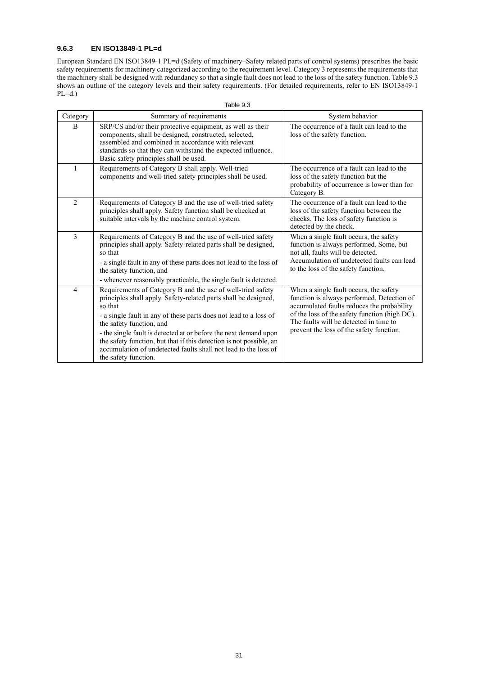## **9.6.3 EN ISO13849-1 PL=d**

European Standard EN ISO13849-1 PL=d (Safety of machinery–Safety related parts of control systems) prescribes the basic safety requirements for machinery categorized according to the requirement level. Category 3 represents the requirements that the machinery shall be designed with redundancy so that a single fault does not lead to the loss of the safety function. Table 9.3 shows an outline of the category levels and their safety requirements. (For detailed requirements, refer to EN ISO13849-1  $PL=d.$ )

| Table 9.3      |                                                                                                                                                                                                                                                                                                                                                                                                                                                                                  |                                                                                                                                                                                                                                                                           |  |  |
|----------------|----------------------------------------------------------------------------------------------------------------------------------------------------------------------------------------------------------------------------------------------------------------------------------------------------------------------------------------------------------------------------------------------------------------------------------------------------------------------------------|---------------------------------------------------------------------------------------------------------------------------------------------------------------------------------------------------------------------------------------------------------------------------|--|--|
| Category       | Summary of requirements                                                                                                                                                                                                                                                                                                                                                                                                                                                          | System behavior                                                                                                                                                                                                                                                           |  |  |
| B              | SRP/CS and/or their protective equipment, as well as their<br>components, shall be designed, constructed, selected,<br>assembled and combined in accordance with relevant<br>standards so that they can withstand the expected influence.<br>Basic safety principles shall be used.                                                                                                                                                                                              | The occurrence of a fault can lead to the<br>loss of the safety function.                                                                                                                                                                                                 |  |  |
| $\mathbf{1}$   | Requirements of Category B shall apply. Well-tried<br>components and well-tried safety principles shall be used.                                                                                                                                                                                                                                                                                                                                                                 | The occurrence of a fault can lead to the<br>loss of the safety function but the<br>probability of occurrence is lower than for<br>Category B.                                                                                                                            |  |  |
| $\overline{2}$ | Requirements of Category B and the use of well-tried safety<br>principles shall apply. Safety function shall be checked at<br>suitable intervals by the machine control system.                                                                                                                                                                                                                                                                                                  | The occurrence of a fault can lead to the<br>loss of the safety function between the<br>checks. The loss of safety function is<br>detected by the check.                                                                                                                  |  |  |
| 3              | Requirements of Category B and the use of well-tried safety<br>principles shall apply. Safety-related parts shall be designed,<br>so that<br>- a single fault in any of these parts does not lead to the loss of<br>the safety function, and<br>- whenever reasonably practicable, the single fault is detected.                                                                                                                                                                 | When a single fault occurs, the safety<br>function is always performed. Some, but<br>not all, faults will be detected.<br>Accumulation of undetected faults can lead<br>to the loss of the safety function.                                                               |  |  |
| $\overline{4}$ | Requirements of Category B and the use of well-tried safety<br>principles shall apply. Safety-related parts shall be designed,<br>so that<br>- a single fault in any of these parts does not lead to a loss of<br>the safety function, and<br>- the single fault is detected at or before the next demand upon<br>the safety function, but that if this detection is not possible, an<br>accumulation of undetected faults shall not lead to the loss of<br>the safety function. | When a single fault occurs, the safety<br>function is always performed. Detection of<br>accumulated faults reduces the probability<br>of the loss of the safety function (high DC).<br>The faults will be detected in time to<br>prevent the loss of the safety function. |  |  |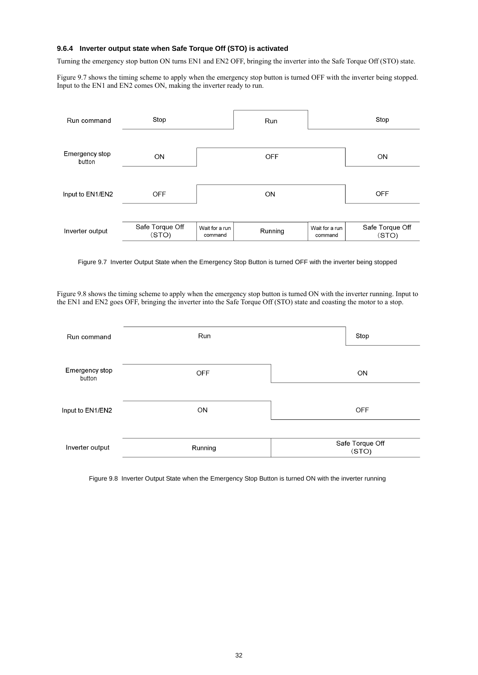## **9.6.4 Inverter output state when Safe Torque Off (STO) is activated**

Turning the emergency stop button ON turns EN1 and EN2 OFF, bringing the inverter into the Safe Torque Off (STO) state.

Figure 9.7 shows the timing scheme to apply when the emergency stop button is turned OFF with the inverter being stopped. Input to the EN1 and EN2 comes ON, making the inverter ready to run.



Figure 9.7 Inverter Output State when the Emergency Stop Button is turned OFF with the inverter being stopped

Figure 9.8 shows the timing scheme to apply when the emergency stop button is turned ON with the inverter running. Input to the EN1 and EN2 goes OFF, bringing the inverter into the Safe Torque Off (STO) state and coasting the motor to a stop.

| Run command              | Run       | Stop                     |
|--------------------------|-----------|--------------------------|
| Emergency stop<br>button | OFF       | <b>ON</b>                |
| Input to EN1/EN2         | <b>ON</b> | <b>OFF</b>               |
| Inverter output          | Running   | Safe Torque Off<br>(STO) |

Figure 9.8 Inverter Output State when the Emergency Stop Button is turned ON with the inverter running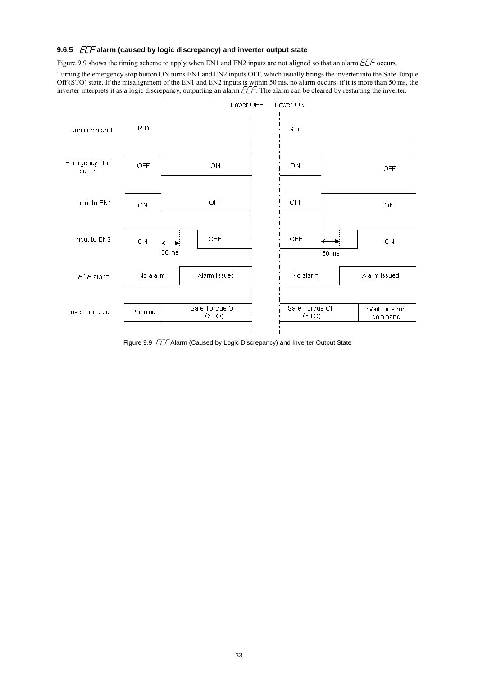## **9.6.5** *ECF* alarm (caused by logic discrepancy) and inverter output state

Figure 9.9 shows the timing scheme to apply when EN1 and EN2 inputs are not aligned so that an alarm  $\frac{F}{F}$  occurs.

Turning the emergency stop button ON turns EN1 and EN2 inputs OFF, which usually brings the inverter into the Safe Torque Off (STO) state. If the misalignment of the EN1 and EN2 inputs is within 50 ms, no alarm occurs; if it is more than 50 ms, the inverter interprets it as a logic discrepancy, outputting an alarm  $ETF$ . The alarm can be cleared by restarting the inverter.



Figure 9.9 ELF Alarm (Caused by Logic Discrepancy) and Inverter Output State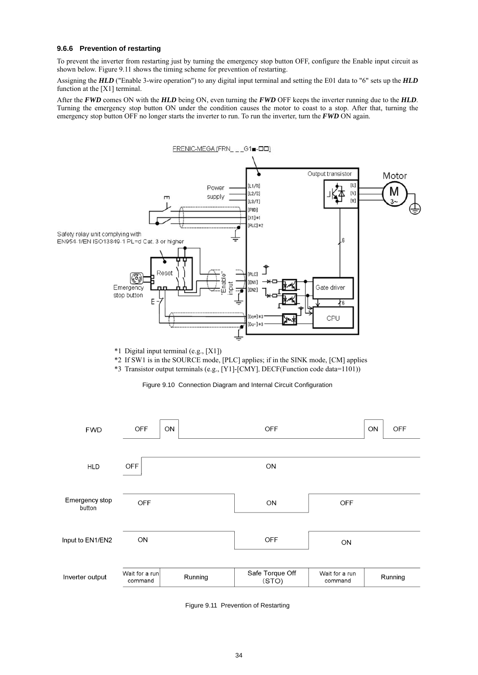## **9.6.6 Prevention of restarting**

To prevent the inverter from restarting just by turning the emergency stop button OFF, configure the Enable input circuit as shown below. Figure 9.11 shows the timing scheme for prevention of restarting.

Assigning the *HLD* ("Enable 3-wire operation") to any digital input terminal and setting the E01 data to "6" sets up the *HLD* function at the [X1] terminal.

After the *FWD* comes ON with the *HLD* being ON, even turning the *FWD* OFF keeps the inverter running due to the *HLD*. Turning the emergency stop button ON under the condition causes the motor to coast to a stop. After that, turning the emergency stop button OFF no longer starts the inverter to run. To run the inverter, turn the *FWD* ON again.



\*1 Digital input terminal (e.g., [X1])

\*2 If SW1 is in the SOURCE mode, [PLC] applies; if in the SINK mode, [CM] applies

\*3 Transistor output terminals (e.g., [Y1]-[CMY], DECF(Function code data=1101))

Figure 9.10 Connection Diagram and Internal Circuit Configuration

| <b>FWD</b>               | <b>OFF</b>                | ON      | <b>OFF</b>               |                           | ON | <b>OFF</b> |
|--------------------------|---------------------------|---------|--------------------------|---------------------------|----|------------|
| <b>HLD</b>               | OFF                       |         | ON                       |                           |    |            |
| Emergency stop<br>button | <b>OFF</b>                |         | ON                       | <b>OFF</b>                |    |            |
| Input to EN1/EN2         | ON                        |         | <b>OFF</b>               | ON                        |    |            |
| Inverter output          | Wait for a run<br>command | Running | Safe Torque Off<br>(STO) | Wait for a run<br>command |    | Running    |

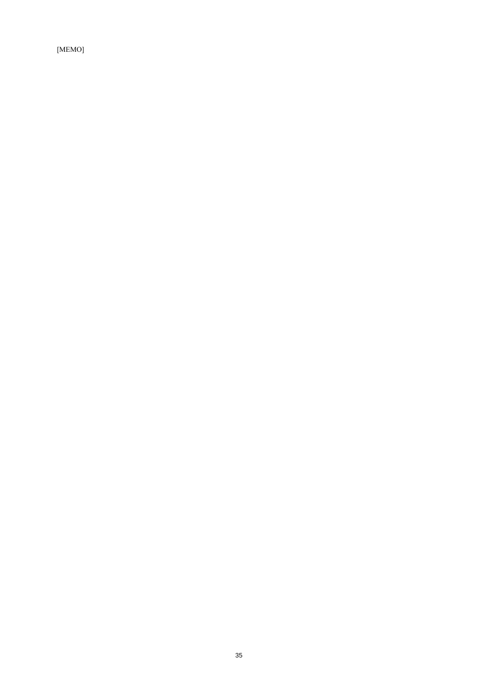[MEMO]